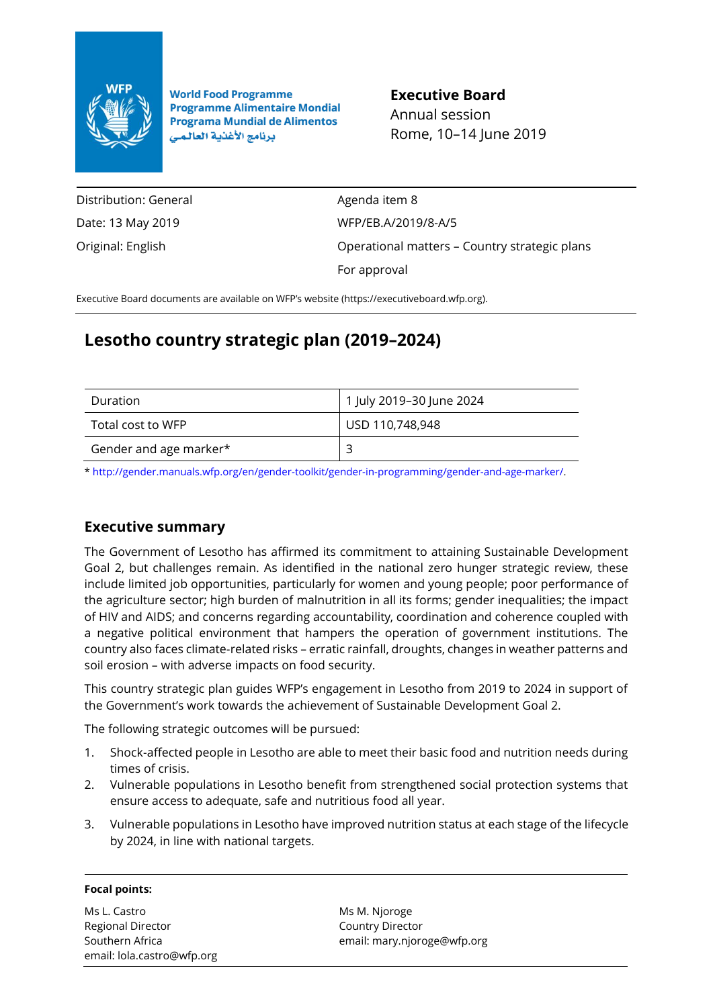

**World Food Programme Programme Alimentaire Mondial Programa Mundial de Alimentos** برنامج الأغذية العالمى

**Executive Board** Annual session Rome, 10–14 June 2019

Distribution: General Date: 13 May 2019 Original: English

Agenda item 8 WFP/EB.A/2019/8-A/5 Operational matters – Country strategic plans For approval

Executive Board documents are available on WFP's website [\(https://executiveboard.wfp.org\)](https://executiveboard.wfp.org/).

# **Lesotho country strategic plan (2019–2024)**

| Duration               | 1 July 2019-30 June 2024 |
|------------------------|--------------------------|
| Total cost to WFP      | USD 110,748,948          |
| Gender and age marker* |                          |

[\\* http://gender.manuals.wfp.org/en/gender-toolkit/gender-in-programming/gender-and-age-marker/.](http://gender.manuals.wfp.org/en/gender-toolkit/gender-in-programming/gender-and-age-marker/)

## **Executive summary**

The Government of Lesotho has affirmed its commitment to attaining Sustainable Development Goal 2, but challenges remain. As identified in the national zero hunger strategic review, these include limited job opportunities, particularly for women and young people; poor performance of the agriculture sector; high burden of malnutrition in all its forms; gender inequalities; the impact of HIV and AIDS; and concerns regarding accountability, coordination and coherence coupled with a negative political environment that hampers the operation of government institutions. The country also faces climate-related risks – erratic rainfall, droughts, changes in weather patterns and soil erosion – with adverse impacts on food security.

This country strategic plan guides WFP's engagement in Lesotho from 2019 to 2024 in support of the Government's work towards the achievement of Sustainable Development Goal 2.

The following strategic outcomes will be pursued:

- 1. Shock-affected people in Lesotho are able to meet their basic food and nutrition needs during times of crisis.
- 2. Vulnerable populations in Lesotho benefit from strengthened social protection systems that ensure access to adequate, safe and nutritious food all year.
- 3. Vulnerable populations in Lesotho have improved nutrition status at each stage of the lifecycle by 2024, in line with national targets.

### **Focal points:**

Ms L. Castro Regional Director Southern Africa email: lola.castro@wfp.org Ms M. Njoroge Country Director email: mary.njorog[e@wfp.org](mailto:@wfp.org)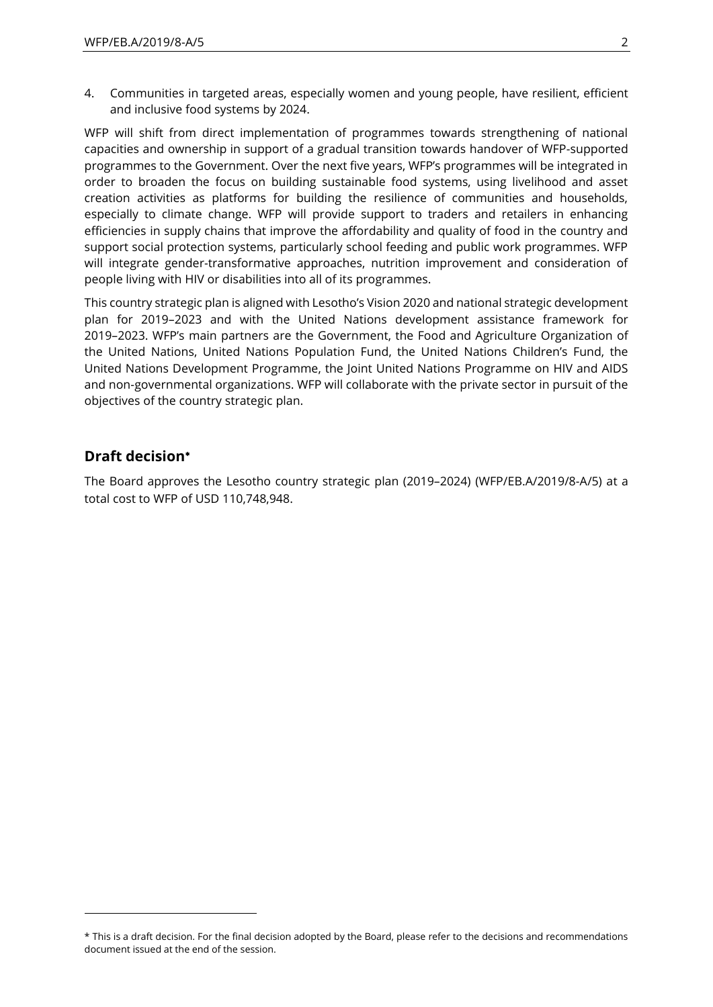4. Communities in targeted areas, especially women and young people, have resilient, efficient and inclusive food systems by 2024.

WFP will shift from direct implementation of programmes towards strengthening of national capacities and ownership in support of a gradual transition towards handover of WFP-supported programmes to the Government. Over the next five years, WFP's programmes will be integrated in order to broaden the focus on building sustainable food systems, using livelihood and asset creation activities as platforms for building the resilience of communities and households, especially to climate change. WFP will provide support to traders and retailers in enhancing efficiencies in supply chains that improve the affordability and quality of food in the country and support social protection systems, particularly school feeding and public work programmes. WFP will integrate gender-transformative approaches, nutrition improvement and consideration of people living with HIV or disabilities into all of its programmes.

This country strategic plan is aligned with Lesotho's Vision 2020 and national strategic development plan for 2019–2023 and with the United Nations development assistance framework for 2019–2023. WFP's main partners are the Government, the Food and Agriculture Organization of the United Nations, United Nations Population Fund, the United Nations Children's Fund, the United Nations Development Programme, the Joint United Nations Programme on HIV and AIDS and non-governmental organizations. WFP will collaborate with the private sector in pursuit of the objectives of the country strategic plan.

### **Draft decision**

 $\overline{a}$ 

The Board approves the Lesotho country strategic plan (2019–2024) (WFP/EB.A/2019/8-A/5) at a total cost to WFP of USD 110,748,948.

<sup>\*</sup> This is a draft decision. For the final decision adopted by the Board, please refer to the decisions and recommendations document issued at the end of the session.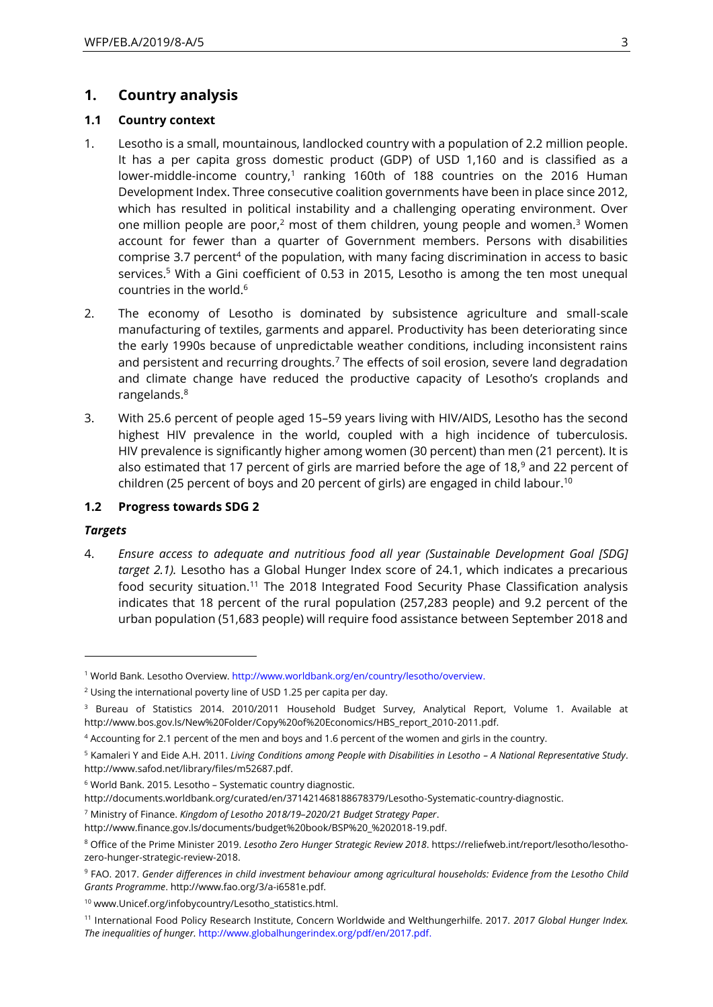### **1. Country analysis**

### **1.1 Country context**

- 1. Lesotho is a small, mountainous, landlocked country with a population of 2.2 million people. It has a per capita gross domestic product (GDP) of USD 1,160 and is classified as a lower-middle-income country,<sup>1</sup> ranking 160th of 188 countries on the 2016 Human Development Index. Three consecutive coalition governments have been in place since 2012, which has resulted in political instability and a challenging operating environment. Over one million people are poor, $2$  most of them children, young people and women. $3$  Women account for fewer than a quarter of Government members. Persons with disabilities comprise 3.7 percent<sup>4</sup> of the population, with many facing discrimination in access to basic services.<sup>5</sup> With a Gini coefficient of 0.53 in 2015, Lesotho is among the ten most unequal countries in the world.<sup>6</sup>
- 2. The economy of Lesotho is dominated by subsistence agriculture and small-scale manufacturing of textiles, garments and apparel. Productivity has been deteriorating since the early 1990s because of unpredictable weather conditions, including inconsistent rains and persistent and recurring droughts.<sup>7</sup> The effects of soil erosion, severe land degradation and climate change have reduced the productive capacity of Lesotho's croplands and rangelands.<sup>8</sup>
- 3. With 25.6 percent of people aged 15–59 years living with HIV/AIDS, Lesotho has the second highest HIV prevalence in the world, coupled with a high incidence of tuberculosis. HIV prevalence is significantly higher among women (30 percent) than men (21 percent). It is also estimated that 17 percent of girls are married before the age of 18, $9$  and 22 percent of children (25 percent of boys and 20 percent of girls) are engaged in child labour. 10

#### **1.2 Progress towards SDG 2**

#### *Targets*

 $\overline{a}$ 

4. *Ensure access to adequate and nutritious food all year (Sustainable Development Goal [SDG] target 2.1).* Lesotho has a Global Hunger Index score of 24.1, which indicates a precarious food security situation.<sup>11</sup> The 2018 Integrated Food Security Phase Classification analysis indicates that 18 percent of the rural population (257,283 people) and 9.2 percent of the urban population (51,683 people) will require food assistance between September 2018 and

<sup>7</sup> Ministry of Finance. *Kingdom of Lesotho 2018/19*–*2020/21 Budget Strategy Paper*.

<sup>1</sup> World Bank. Lesotho Overview. [http://www.worldbank.org/en/country/lesotho/overview.](http://www.worldbank.org/en/country/lesotho/overview)

<sup>&</sup>lt;sup>2</sup> Using the international poverty line of USD 1.25 per capita per day.

<sup>&</sup>lt;sup>3</sup> Bureau of Statistics 2014. 2010/2011 Household Budget Survey, Analytical Report, Volume 1. Available at http://www.bos.gov.ls/New%20Folder/Copy%20of%20Economics/HBS\_report\_2010-2011.pdf.

<sup>4</sup> Accounting for 2.1 percent of the men and boys and 1.6 percent of the women and girls in the country.

<sup>5</sup> Kamaleri Y and Eide A.H. 2011. *Living Conditions among People with Disabilities in Lesotho – A National Representative Study*. http://www.safod.net/library/files/m52687.pdf.

<sup>&</sup>lt;sup>6</sup> World Bank. 2015. Lesotho - Systematic country diagnostic.

http://documents.worldbank.org/curated/en/371421468188678379/Lesotho-Systematic-country-diagnostic.

[http://www.finance.gov.ls/documents/budget%20book/BSP%20\\_%202018-19.pdf.](http://www.finance.gov.ls/documents/budget%20book/BSP%20_%202018-19.pdf)

<sup>8</sup> Office of the Prime Minister 2019. *Lesotho Zero Hunger Strategic Review 2018*. [https://reliefweb.int/report/lesotho/lesotho](https://reliefweb.int/report/lesotho/lesotho-zero-hunger-strategic-review-2018)[zero-hunger-strategic-review-2018.](https://reliefweb.int/report/lesotho/lesotho-zero-hunger-strategic-review-2018)

<sup>9</sup> FAO. 2017. *Gender differences in child investment behaviour among agricultural households: Evidence from the Lesotho Child Grants Programme*. http://www.fao.org/3/a-i6581e.pdf.

<sup>10</sup> www.Unicef.org/infobycountry/Lesotho\_statistics.html.

<sup>11</sup> International Food Policy Research Institute, Concern Worldwide and Welthungerhilfe. 2017. *2017 Global Hunger Index. The inequalities of hunger.* [http://www.globalhungerindex.org/pdf/en/2017.pdf.](http://www.globalhungerindex.org/pdf/en/2017.pdf)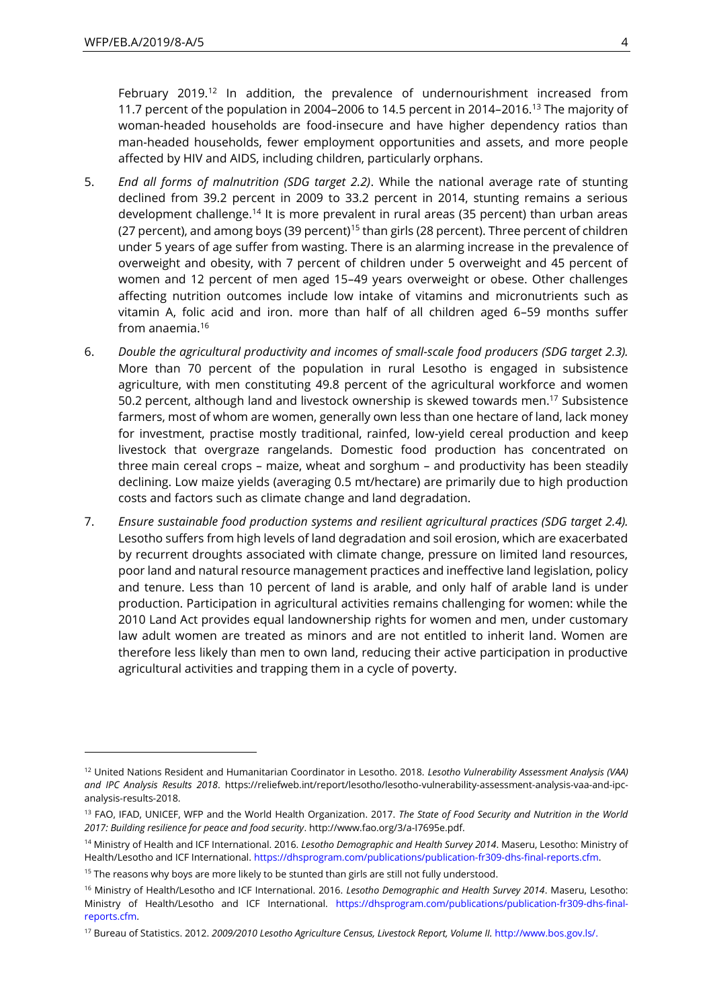$\overline{a}$ 

February 2019.<sup>12</sup> In addition, the prevalence of undernourishment increased from 11.7 percent of the population in 2004-2006 to 14.5 percent in 2014-2016.<sup>13</sup> The majority of woman-headed households are food-insecure and have higher dependency ratios than man-headed households, fewer employment opportunities and assets, and more people affected by HIV and AIDS, including children, particularly orphans.

- 5. *End all forms of malnutrition (SDG target 2.2)*. While the national average rate of stunting declined from 39.2 percent in 2009 to 33.2 percent in 2014, stunting remains a serious development challenge.<sup>14</sup> It is more prevalent in rural areas (35 percent) than urban areas (27 percent), and among boys (39 percent)<sup>15</sup> than girls (28 percent). Three percent of children under 5 years of age suffer from wasting. There is an alarming increase in the prevalence of overweight and obesity, with 7 percent of children under 5 overweight and 45 percent of women and 12 percent of men aged 15–49 years overweight or obese. Other challenges affecting nutrition outcomes include low intake of vitamins and micronutrients such as vitamin A, folic acid and iron. more than half of all children aged 6–59 months suffer from anaemia.<sup>16</sup>
- 6. *Double the agricultural productivity and incomes of small-scale food producers (SDG target 2.3).* More than 70 percent of the population in rural Lesotho is engaged in subsistence agriculture, with men constituting 49.8 percent of the agricultural workforce and women 50.2 percent, although land and livestock ownership is skewed towards men.<sup>17</sup> Subsistence farmers, most of whom are women, generally own less than one hectare of land, lack money for investment, practise mostly traditional, rainfed, low-yield cereal production and keep livestock that overgraze rangelands. Domestic food production has concentrated on three main cereal crops – maize, wheat and sorghum – and productivity has been steadily declining. Low maize yields (averaging 0.5 mt/hectare) are primarily due to high production costs and factors such as climate change and land degradation.
- 7. *Ensure sustainable food production systems and resilient agricultural practices (SDG target 2.4).* Lesotho suffers from high levels of land degradation and soil erosion, which are exacerbated by recurrent droughts associated with climate change, pressure on limited land resources, poor land and natural resource management practices and ineffective land legislation, policy and tenure. Less than 10 percent of land is arable, and only half of arable land is under production. Participation in agricultural activities remains challenging for women: while the 2010 Land Act provides equal landownership rights for women and men, under customary law adult women are treated as minors and are not entitled to inherit land. Women are therefore less likely than men to own land, reducing their active participation in productive agricultural activities and trapping them in a cycle of poverty.

<sup>12</sup> United Nations Resident and Humanitarian Coordinator in Lesotho. 2018. *Lesotho Vulnerability Assessment Analysis (VAA) and IPC Analysis Results 2018*. https://reliefweb.int/report/lesotho/lesotho-vulnerability-assessment-analysis-vaa-and-ipcanalysis-results-2018.

<sup>13</sup> FAO, IFAD, UNICEF, WFP and the World Health Organization. 2017. *The State of Food Security and Nutrition in the World 2017: Building resilience for peace and food security*. http://www.fao.org/3/a-I7695e.pdf.

<sup>14</sup> Ministry of Health and ICF International. 2016. *Lesotho Demographic and Health Survey 2014*. Maseru, Lesotho: Ministry of Health/Lesotho and ICF International[. https://dhsprogram.com/publications/publication-fr309-dhs-final-reports.cfm.](https://dhsprogram.com/publications/publication-fr309-dhs-final-reports.cfm)

<sup>&</sup>lt;sup>15</sup> The reasons why boys are more likely to be stunted than girls are still not fully understood.

<sup>16</sup> Ministry of Health/Lesotho and ICF International. 2016. *Lesotho Demographic and Health Survey 2014*. Maseru, Lesotho: Ministry of Health/Lesotho and ICF International. [https://dhsprogram.com/publications/publication-fr309-dhs-final](https://dhsprogram.com/publications/publication-fr309-dhs-final-reports.cfm)[reports.cfm.](https://dhsprogram.com/publications/publication-fr309-dhs-final-reports.cfm)

<sup>&</sup>lt;sup>17</sup> Bureau of Statistics. 2012. 2009/2010 Lesotho Agriculture Census, Livestock Report, Volume II. [http://www.bos.gov.ls/.](http://www.bos.gov.ls/)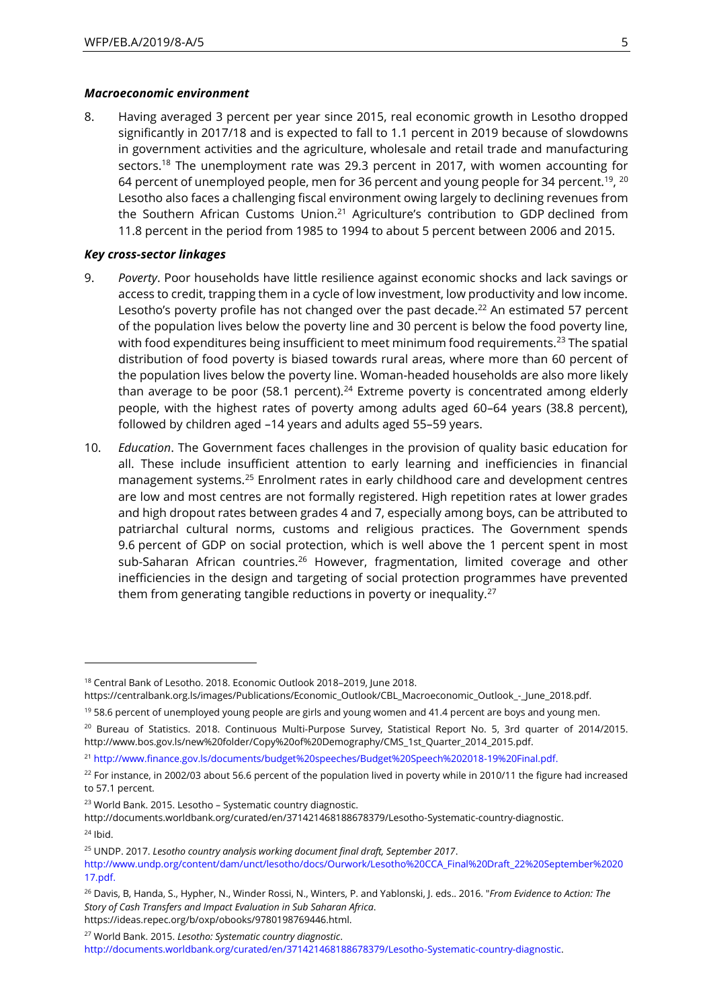#### *Macroeconomic environment*

8. Having averaged 3 percent per year since 2015, real economic growth in Lesotho dropped significantly in 2017/18 and is expected to fall to 1.1 percent in 2019 because of slowdowns in government activities and the agriculture, wholesale and retail trade and manufacturing sectors.<sup>18</sup> The unemployment rate was 29.3 percent in 2017, with women accounting for 64 percent of unemployed people, men for 36 percent and young people for 34 percent. $^{\rm 19}$ ,  $^{\rm 20}$ Lesotho also faces a challenging fiscal environment owing largely to declining revenues from the Southern African Customs Union.<sup>21</sup> Agriculture's contribution to GDP declined from 11.8 percent in the period from 1985 to 1994 to about 5 percent between 2006 and 2015.

#### *Key cross-sector linkages*

 $\overline{a}$ 

- 9. *Poverty*. Poor households have little resilience against economic shocks and lack savings or access to credit, trapping them in a cycle of low investment, low productivity and low income. Lesotho's poverty profile has not changed over the past decade.<sup>22</sup> An estimated 57 percent of the population lives below the poverty line and 30 percent is below the food poverty line, with food expenditures being insufficient to meet minimum food requirements.<sup>23</sup> The spatial distribution of food poverty is biased towards rural areas, where more than 60 percent of the population lives below the poverty line. Woman-headed households are also more likely than average to be poor (58.1 percent).<sup>24</sup> Extreme poverty is concentrated among elderly people, with the highest rates of poverty among adults aged 60–64 years (38.8 percent), followed by children aged –14 years and adults aged 55–59 years.
- 10. *Education*. The Government faces challenges in the provision of quality basic education for all. These include insufficient attention to early learning and inefficiencies in financial management systems.<sup>25</sup> Enrolment rates in early childhood care and development centres are low and most centres are not formally registered. High repetition rates at lower grades and high dropout rates between grades 4 and 7, especially among boys, can be attributed to patriarchal cultural norms, customs and religious practices. The Government spends 9.6 percent of GDP on social protection, which is well above the 1 percent spent in most sub-Saharan African countries.<sup>26</sup> However, fragmentation, limited coverage and other inefficiencies in the design and targeting of social protection programmes have prevented them from generating tangible reductions in poverty or inequality.<sup>27</sup>

<sup>&</sup>lt;sup>18</sup> Central Bank of Lesotho. 2018. Economic Outlook 2018–2019, June 2018.

https://centralbank.org.ls/images/Publications/Economic\_Outlook/CBL\_Macroeconomic\_Outlook\_-\_June\_2018.pdf.

 $19$  58.6 percent of unemployed young people are girls and young women and 41.4 percent are boys and young men.

<sup>&</sup>lt;sup>20</sup> Bureau of Statistics. 2018. Continuous Multi-Purpose Survey, Statistical Report No. 5, 3rd quarter of 2014/2015. http://www.bos.gov.ls/new%20folder/Copy%20of%20Demography/CMS\_1st\_Quarter\_2014\_2015.pdf.

<sup>21</sup> [http://www.finance.gov.ls/documents/budget%20speeches/Budget%20Speech%202018-19%20Final.pdf.](http://www.finance.gov.ls/documents/budget%20speeches/Budget%20Speech%202018-19%20Final.pdf)

 $22$  For instance, in 2002/03 about 56.6 percent of the population lived in poverty while in 2010/11 the figure had increased to 57.1 percent.

<sup>23</sup> World Bank. 2015. Lesotho – Systematic country diagnostic.

http://documents.worldbank.org/curated/en/371421468188678379/Lesotho-Systematic-country-diagnostic.  $24$  Ibid.

<sup>25</sup> UNDP. 2017. *Lesotho country analysis working document final draft, September 2017*.

[http://www.undp.org/content/dam/unct/lesotho/docs/Ourwork/Lesotho%20CCA\\_Final%20Draft\\_22%20September%2020](http://www.undp.org/content/dam/unct/lesotho/docs/Ourwork/Lesotho%20CCA_Final%20Draft_22%20September%202017.pdf) [17.pdf.](http://www.undp.org/content/dam/unct/lesotho/docs/Ourwork/Lesotho%20CCA_Final%20Draft_22%20September%202017.pdf)

<sup>26</sup> Davis, B, Handa, S., Hypher, N., Winder Rossi, N., Winters, P. and Yablonski, J. eds.. 2016. "*From Evidence to Action: The Story of Cash Transfers and Impact Evaluation in Sub Saharan Africa*. https://ideas.repec.org/b/oxp/obooks/9780198769446.html.

<sup>27</sup> World Bank. 2015. *Lesotho: Systematic country diagnostic*.

[http://documents.worldbank.org/curated/en/371421468188678379/Lesotho-Systematic-country-diagnostic.](http://documents.worldbank.org/curated/en/371421468188678379/Lesotho-Systematic-country-diagnostic)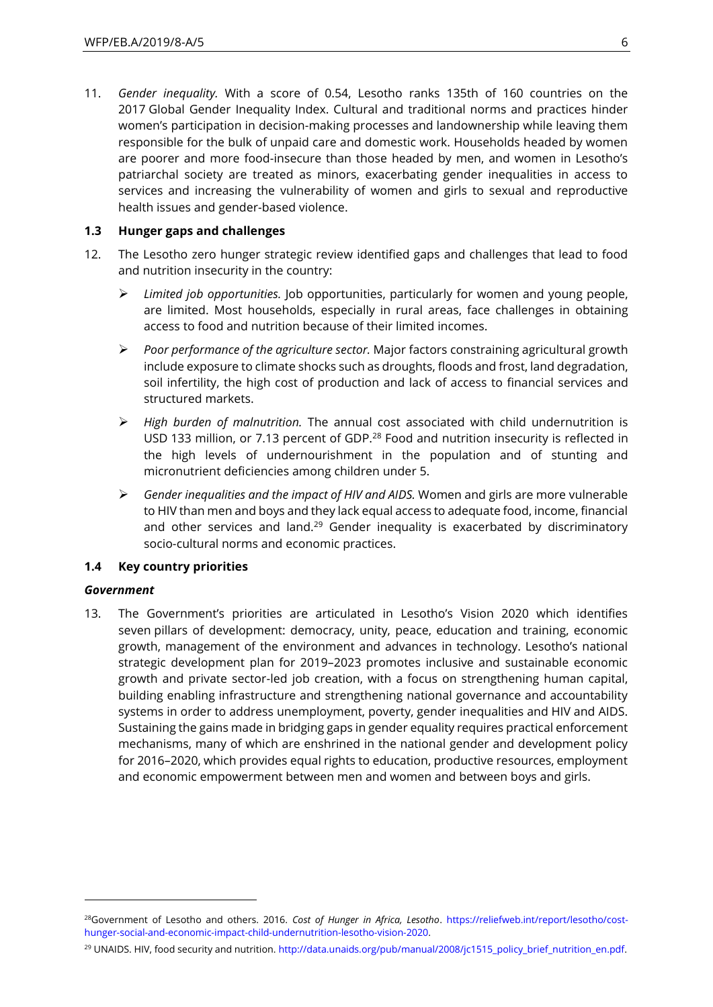11. *Gender inequality.* With a score of 0.54, Lesotho ranks 135th of 160 countries on the 2017 Global Gender Inequality Index. Cultural and traditional norms and practices hinder women's participation in decision-making processes and landownership while leaving them responsible for the bulk of unpaid care and domestic work. Households headed by women are poorer and more food-insecure than those headed by men, and women in Lesotho's patriarchal society are treated as minors, exacerbating gender inequalities in access to services and increasing the vulnerability of women and girls to sexual and reproductive health issues and gender-based violence.

#### **1.3 Hunger gaps and challenges**

- 12. The Lesotho zero hunger strategic review identified gaps and challenges that lead to food and nutrition insecurity in the country:
	- ➢ *Limited job opportunities.* Job opportunities, particularly for women and young people, are limited. Most households, especially in rural areas, face challenges in obtaining access to food and nutrition because of their limited incomes.
	- ➢ *Poor performance of the agriculture sector.* Major factors constraining agricultural growth include exposure to climate shocks such as droughts, floods and frost, land degradation, soil infertility, the high cost of production and lack of access to financial services and structured markets.
	- ➢ *High burden of malnutrition.* The annual cost associated with child undernutrition is USD 133 million, or 7.13 percent of GDP.<sup>28</sup> Food and nutrition insecurity is reflected in the high levels of undernourishment in the population and of stunting and micronutrient deficiencies among children under 5.
	- ➢ *Gender inequalities and the impact of HIV and AIDS.* Women and girls are more vulnerable to HIV than men and boys and they lack equal access to adequate food, income, financial and other services and land.<sup>29</sup> Gender inequality is exacerbated by discriminatory socio-cultural norms and economic practices.

#### **1.4 Key country priorities**

#### *Government*

 $\overline{\phantom{a}}$ 

13. The Government's priorities are articulated in Lesotho's Vision 2020 which identifies seven pillars of development: democracy, unity, peace, education and training, economic growth, management of the environment and advances in technology. Lesotho's national strategic development plan for 2019–2023 promotes inclusive and sustainable economic growth and private sector-led job creation, with a focus on strengthening human capital, building enabling infrastructure and strengthening national governance and accountability systems in order to address unemployment, poverty, gender inequalities and HIV and AIDS. Sustaining the gains made in bridging gaps in gender equality requires practical enforcement mechanisms, many of which are enshrined in the national gender and development policy for 2016–2020, which provides equal rights to education, productive resources, employment and economic empowerment between men and women and between boys and girls.

<sup>29</sup> UNAIDS. HIV, food security and nutrition[. http://data.unaids.org/pub/manual/2008/jc1515\\_policy\\_brief\\_nutrition\\_en.pdf.](http://data.unaids.org/pub/manual/2008/jc1515_policy_brief_nutrition_en.pdf)

<sup>28</sup>Government of Lesotho and others. 2016. *Cost of Hunger in Africa, Lesotho*. [https://reliefweb.int/report/lesotho/cost](https://reliefweb.int/report/lesotho/cost-hunger-social-and-economic-impact-child-undernutrition-lesotho-vision-2020)[hunger-social-and-economic-impact-child-undernutrition-lesotho-vision-2020.](https://reliefweb.int/report/lesotho/cost-hunger-social-and-economic-impact-child-undernutrition-lesotho-vision-2020)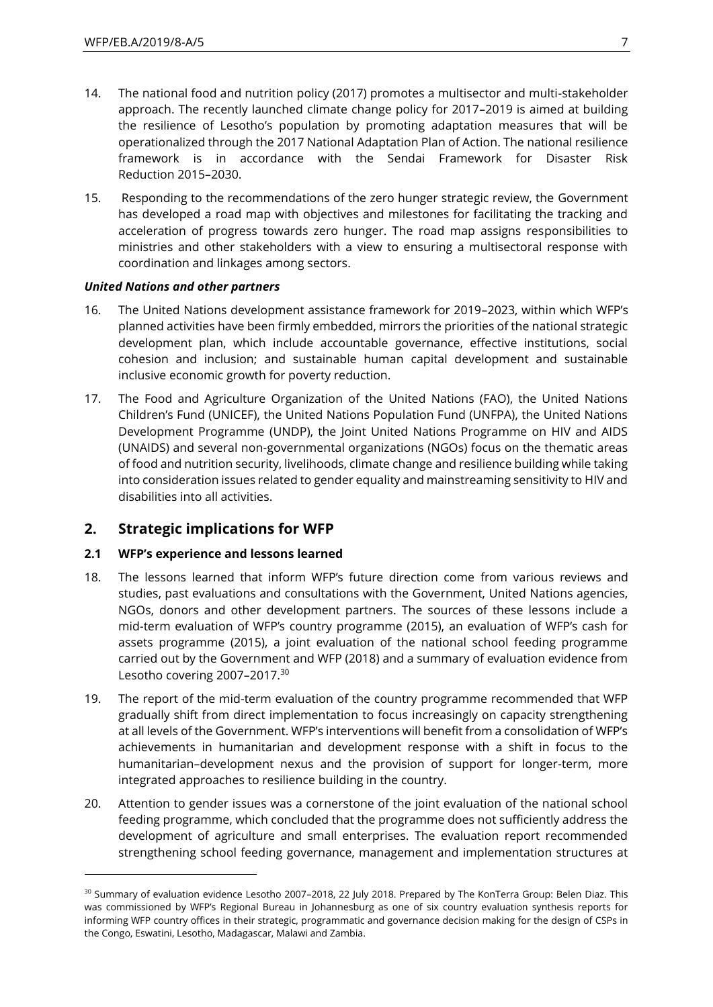- 14. The national food and nutrition policy (2017) promotes a multisector and multi-stakeholder approach. The recently launched climate change policy for 2017–2019 is aimed at building the resilience of Lesotho's population by promoting adaptation measures that will be operationalized through the 2017 National Adaptation Plan of Action. The national resilience framework is in accordance with the Sendai Framework for Disaster Risk Reduction 2015–2030.
- 15. Responding to the recommendations of the zero hunger strategic review, the Government has developed a road map with objectives and milestones for facilitating the tracking and acceleration of progress towards zero hunger. The road map assigns responsibilities to ministries and other stakeholders with a view to ensuring a multisectoral response with coordination and linkages among sectors.

### *United Nations and other partners*

- 16. The United Nations development assistance framework for 2019–2023, within which WFP's planned activities have been firmly embedded, mirrors the priorities of the national strategic development plan, which include accountable governance, effective institutions, social cohesion and inclusion; and sustainable human capital development and sustainable inclusive economic growth for poverty reduction.
- 17. The Food and Agriculture Organization of the United Nations (FAO), the United Nations Children's Fund (UNICEF), the United Nations Population Fund (UNFPA), the United Nations Development Programme (UNDP), the Joint United Nations Programme on HIV and AIDS (UNAIDS) and several non-governmental organizations (NGOs) focus on the thematic areas of food and nutrition security, livelihoods, climate change and resilience building while taking into consideration issues related to gender equality and mainstreaming sensitivity to HIV and disabilities into all activities.

## **2. Strategic implications for WFP**

### **2.1 WFP's experience and lessons learned**

 $\overline{\phantom{a}}$ 

- 18. The lessons learned that inform WFP's future direction come from various reviews and studies, past evaluations and consultations with the Government, United Nations agencies, NGOs, donors and other development partners. The sources of these lessons include a mid-term evaluation of WFP's country programme (2015), an evaluation of WFP's cash for assets programme (2015), a joint evaluation of the national school feeding programme carried out by the Government and WFP (2018) and a summary of evaluation evidence from Lesotho covering 2007-2017.<sup>30</sup>
- 19. The report of the mid-term evaluation of the country programme recommended that WFP gradually shift from direct implementation to focus increasingly on capacity strengthening at all levels of the Government. WFP's interventions will benefit from a consolidation of WFP's achievements in humanitarian and development response with a shift in focus to the humanitarian–development nexus and the provision of support for longer-term, more integrated approaches to resilience building in the country.
- 20. Attention to gender issues was a cornerstone of the joint evaluation of the national school feeding programme, which concluded that the programme does not sufficiently address the development of agriculture and small enterprises. The evaluation report recommended strengthening school feeding governance, management and implementation structures at

<sup>&</sup>lt;sup>30</sup> Summary of evaluation evidence Lesotho 2007-2018, 22 July 2018. Prepared by The KonTerra Group: Belen Diaz. This was commissioned by WFP's Regional Bureau in Johannesburg as one of six country evaluation synthesis reports for informing WFP country offices in their strategic, programmatic and governance decision making for the design of CSPs in the Congo, Eswatini, Lesotho, Madagascar, Malawi and Zambia.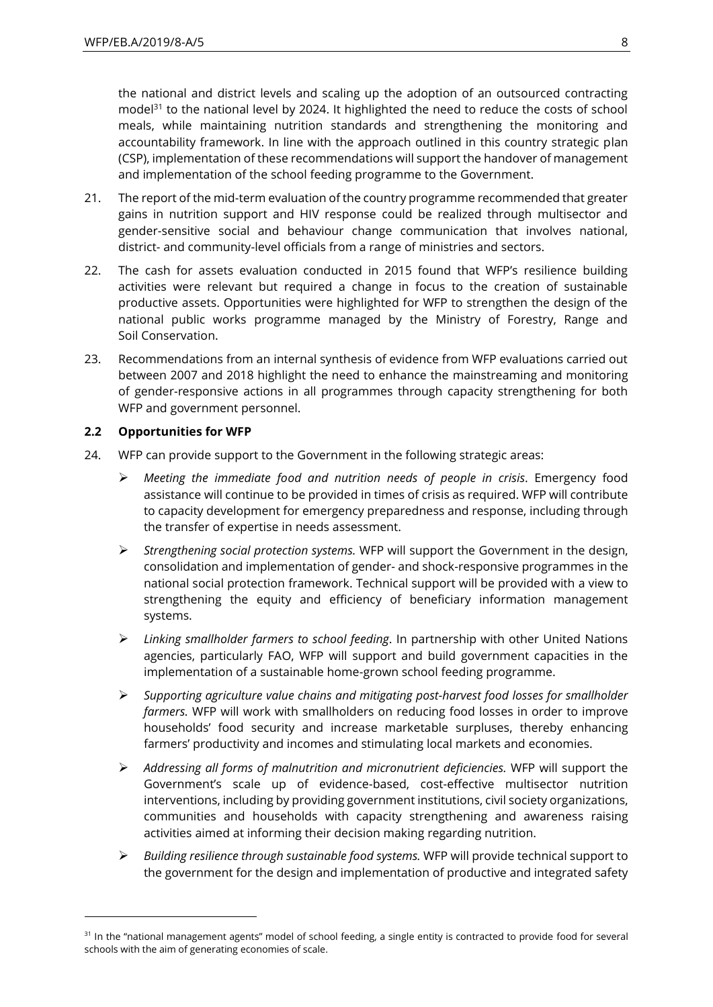the national and district levels and scaling up the adoption of an outsourced contracting model $31$  to the national level by 2024. It highlighted the need to reduce the costs of school meals, while maintaining nutrition standards and strengthening the monitoring and accountability framework. In line with the approach outlined in this country strategic plan (CSP), implementation of these recommendations will support the handover of management and implementation of the school feeding programme to the Government.

- 21. The report of the mid-term evaluation of the country programme recommended that greater gains in nutrition support and HIV response could be realized through multisector and gender-sensitive social and behaviour change communication that involves national, district- and community-level officials from a range of ministries and sectors.
- 22. The cash for assets evaluation conducted in 2015 found that WFP's resilience building activities were relevant but required a change in focus to the creation of sustainable productive assets. Opportunities were highlighted for WFP to strengthen the design of the national public works programme managed by the Ministry of Forestry, Range and Soil Conservation.
- 23. Recommendations from an internal synthesis of evidence from WFP evaluations carried out between 2007 and 2018 highlight the need to enhance the mainstreaming and monitoring of gender-responsive actions in all programmes through capacity strengthening for both WFP and government personnel.

### **2.2 Opportunities for WFP**

 $\overline{a}$ 

- 24. WFP can provide support to the Government in the following strategic areas:
	- ➢ *Meeting the immediate food and nutrition needs of people in crisis*. Emergency food assistance will continue to be provided in times of crisis as required. WFP will contribute to capacity development for emergency preparedness and response, including through the transfer of expertise in needs assessment.
	- ➢ *Strengthening social protection systems.* WFP will support the Government in the design, consolidation and implementation of gender- and shock-responsive programmes in the national social protection framework. Technical support will be provided with a view to strengthening the equity and efficiency of beneficiary information management systems.
	- ➢ *Linking smallholder farmers to school feeding*. In partnership with other United Nations agencies, particularly FAO, WFP will support and build government capacities in the implementation of a sustainable home-grown school feeding programme.
	- ➢ *Supporting agriculture value chains and mitigating post-harvest food losses for smallholder farmers.* WFP will work with smallholders on reducing food losses in order to improve households' food security and increase marketable surpluses, thereby enhancing farmers' productivity and incomes and stimulating local markets and economies.
	- ➢ *Addressing all forms of malnutrition and micronutrient deficiencies.* WFP will support the Government's scale up of evidence-based, cost-effective multisector nutrition interventions, including by providing government institutions, civil society organizations, communities and households with capacity strengthening and awareness raising activities aimed at informing their decision making regarding nutrition.
	- ➢ *Building resilience through sustainable food systems.* WFP will provide technical support to the government for the design and implementation of productive and integrated safety

<sup>&</sup>lt;sup>31</sup> In the "national management agents" model of school feeding, a single entity is contracted to provide food for several schools with the aim of generating economies of scale.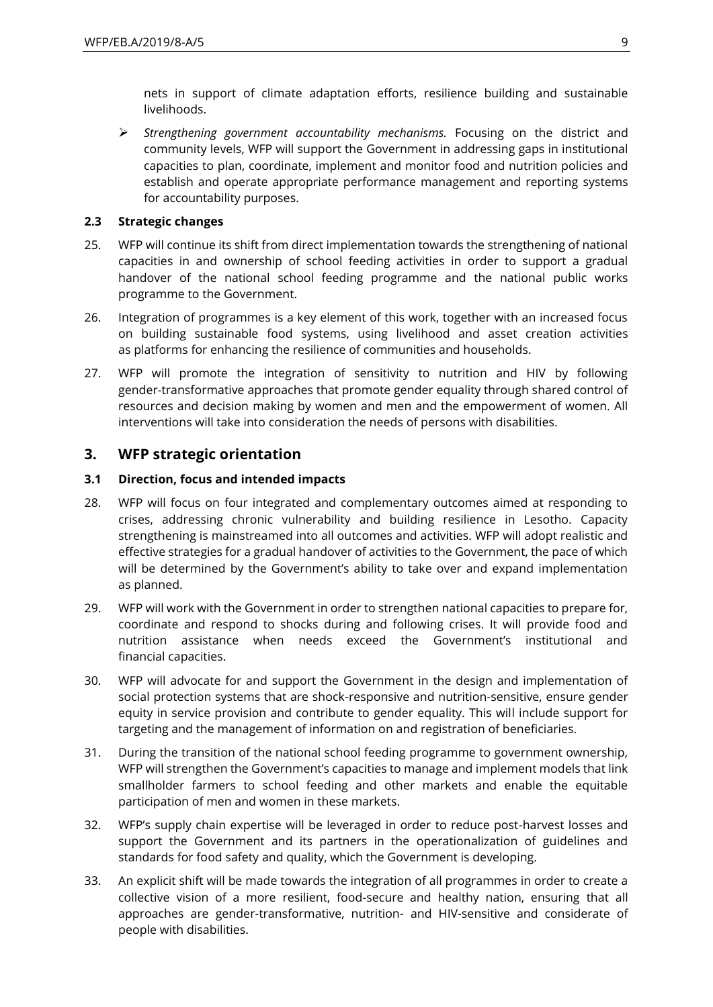nets in support of climate adaptation efforts, resilience building and sustainable livelihoods.

➢ *Strengthening government accountability mechanisms.* Focusing on the district and community levels, WFP will support the Government in addressing gaps in institutional capacities to plan, coordinate, implement and monitor food and nutrition policies and establish and operate appropriate performance management and reporting systems for accountability purposes.

### **2.3 Strategic changes**

- 25. WFP will continue its shift from direct implementation towards the strengthening of national capacities in and ownership of school feeding activities in order to support a gradual handover of the national school feeding programme and the national public works programme to the Government.
- 26. Integration of programmes is a key element of this work, together with an increased focus on building sustainable food systems, using livelihood and asset creation activities as platforms for enhancing the resilience of communities and households.
- 27. WFP will promote the integration of sensitivity to nutrition and HIV by following gender-transformative approaches that promote gender equality through shared control of resources and decision making by women and men and the empowerment of women. All interventions will take into consideration the needs of persons with disabilities.

## **3. WFP strategic orientation**

### **3.1 Direction, focus and intended impacts**

- 28. WFP will focus on four integrated and complementary outcomes aimed at responding to crises, addressing chronic vulnerability and building resilience in Lesotho. Capacity strengthening is mainstreamed into all outcomes and activities. WFP will adopt realistic and effective strategies for a gradual handover of activities to the Government, the pace of which will be determined by the Government's ability to take over and expand implementation as planned.
- 29. WFP will work with the Government in order to strengthen national capacities to prepare for, coordinate and respond to shocks during and following crises. It will provide food and nutrition assistance when needs exceed the Government's institutional and financial capacities.
- 30. WFP will advocate for and support the Government in the design and implementation of social protection systems that are shock-responsive and nutrition-sensitive, ensure gender equity in service provision and contribute to gender equality. This will include support for targeting and the management of information on and registration of beneficiaries.
- 31. During the transition of the national school feeding programme to government ownership, WFP will strengthen the Government's capacities to manage and implement models that link smallholder farmers to school feeding and other markets and enable the equitable participation of men and women in these markets.
- 32. WFP's supply chain expertise will be leveraged in order to reduce post-harvest losses and support the Government and its partners in the operationalization of guidelines and standards for food safety and quality, which the Government is developing.
- 33. An explicit shift will be made towards the integration of all programmes in order to create a collective vision of a more resilient, food-secure and healthy nation, ensuring that all approaches are gender-transformative, nutrition- and HIV-sensitive and considerate of people with disabilities.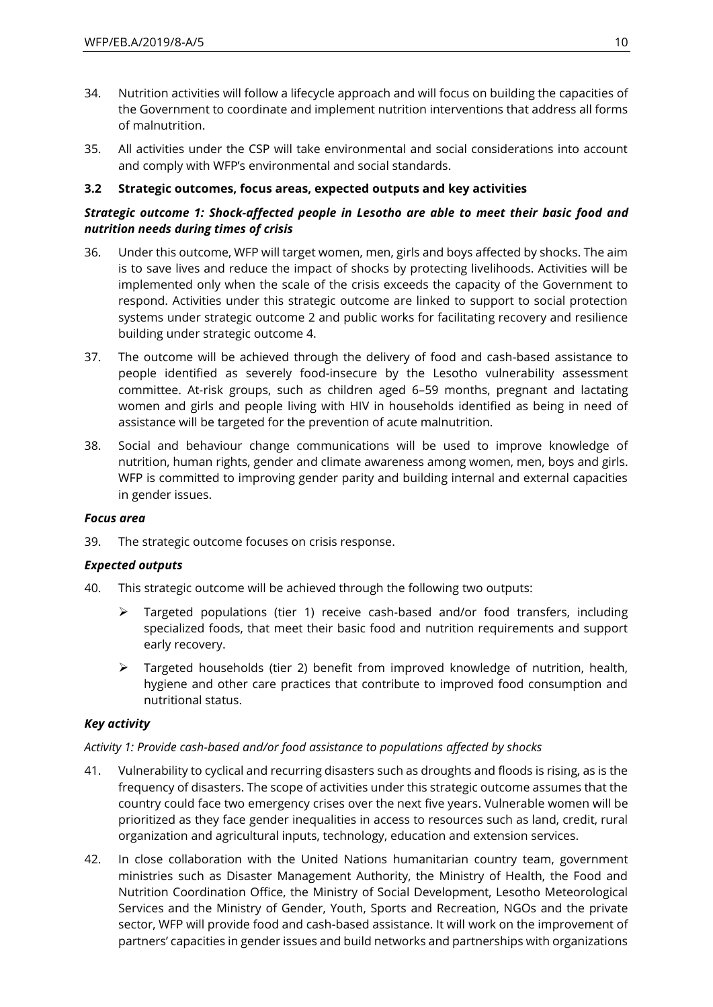- 34. Nutrition activities will follow a lifecycle approach and will focus on building the capacities of the Government to coordinate and implement nutrition interventions that address all forms of malnutrition.
- 35. All activities under the CSP will take environmental and social considerations into account and comply with WFP's environmental and social standards.

## **3.2 Strategic outcomes, focus areas, expected outputs and key activities**

## *Strategic outcome 1: Shock-affected people in Lesotho are able to meet their basic food and nutrition needs during times of crisis*

- 36. Under this outcome, WFP will target women, men, girls and boys affected by shocks. The aim is to save lives and reduce the impact of shocks by protecting livelihoods. Activities will be implemented only when the scale of the crisis exceeds the capacity of the Government to respond. Activities under this strategic outcome are linked to support to social protection systems under strategic outcome 2 and public works for facilitating recovery and resilience building under strategic outcome 4.
- 37. The outcome will be achieved through the delivery of food and cash-based assistance to people identified as severely food-insecure by the Lesotho vulnerability assessment committee. At-risk groups, such as children aged 6–59 months, pregnant and lactating women and girls and people living with HIV in households identified as being in need of assistance will be targeted for the prevention of acute malnutrition.
- 38. Social and behaviour change communications will be used to improve knowledge of nutrition, human rights, gender and climate awareness among women, men, boys and girls. WFP is committed to improving gender parity and building internal and external capacities in gender issues.

### *Focus area*

39. The strategic outcome focuses on crisis response.

### *Expected outputs*

- 40. This strategic outcome will be achieved through the following two outputs:
	- ➢ Targeted populations (tier 1) receive cash-based and/or food transfers, including specialized foods, that meet their basic food and nutrition requirements and support early recovery.
	- ➢ Targeted households (tier 2) benefit from improved knowledge of nutrition, health, hygiene and other care practices that contribute to improved food consumption and nutritional status.

### *Key activity*

### *Activity 1: Provide cash-based and/or food assistance to populations affected by shocks*

- 41. Vulnerability to cyclical and recurring disasters such as droughts and floods is rising, as is the frequency of disasters. The scope of activities under this strategic outcome assumes that the country could face two emergency crises over the next five years. Vulnerable women will be prioritized as they face gender inequalities in access to resources such as land, credit, rural organization and agricultural inputs, technology, education and extension services.
- 42. In close collaboration with the United Nations humanitarian country team, government ministries such as Disaster Management Authority, the Ministry of Health, the Food and Nutrition Coordination Office, the Ministry of Social Development, Lesotho Meteorological Services and the Ministry of Gender, Youth, Sports and Recreation, NGOs and the private sector, WFP will provide food and cash-based assistance. It will work on the improvement of partners' capacities in gender issues and build networks and partnerships with organizations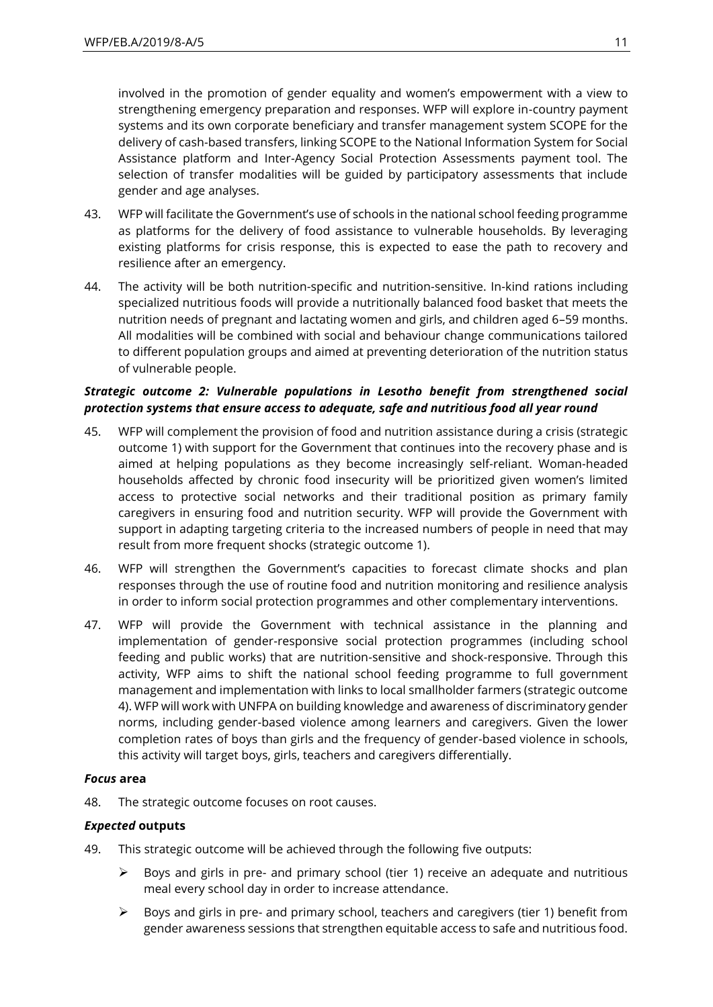involved in the promotion of gender equality and women's empowerment with a view to strengthening emergency preparation and responses. WFP will explore in-country payment systems and its own corporate beneficiary and transfer management system SCOPE for the delivery of cash-based transfers, linking SCOPE to the National Information System for Social Assistance platform and Inter-Agency Social Protection Assessments payment tool. The selection of transfer modalities will be guided by participatory assessments that include gender and age analyses.

- 43. WFP will facilitate the Government's use of schools in the national school feeding programme as platforms for the delivery of food assistance to vulnerable households. By leveraging existing platforms for crisis response, this is expected to ease the path to recovery and resilience after an emergency.
- 44. The activity will be both nutrition-specific and nutrition-sensitive. In-kind rations including specialized nutritious foods will provide a nutritionally balanced food basket that meets the nutrition needs of pregnant and lactating women and girls, and children aged 6–59 months. All modalities will be combined with social and behaviour change communications tailored to different population groups and aimed at preventing deterioration of the nutrition status of vulnerable people.

### *Strategic outcome 2: Vulnerable populations in Lesotho benefit from strengthened social protection systems that ensure access to adequate, safe and nutritious food all year round*

- 45. WFP will complement the provision of food and nutrition assistance during a crisis (strategic outcome 1) with support for the Government that continues into the recovery phase and is aimed at helping populations as they become increasingly self-reliant. Woman-headed households affected by chronic food insecurity will be prioritized given women's limited access to protective social networks and their traditional position as primary family caregivers in ensuring food and nutrition security. WFP will provide the Government with support in adapting targeting criteria to the increased numbers of people in need that may result from more frequent shocks (strategic outcome 1).
- 46. WFP will strengthen the Government's capacities to forecast climate shocks and plan responses through the use of routine food and nutrition monitoring and resilience analysis in order to inform social protection programmes and other complementary interventions.
- 47. WFP will provide the Government with technical assistance in the planning and implementation of gender-responsive social protection programmes (including school feeding and public works) that are nutrition-sensitive and shock-responsive. Through this activity, WFP aims to shift the national school feeding programme to full government management and implementation with links to local smallholder farmers (strategic outcome 4). WFP will work with UNFPA on building knowledge and awareness of discriminatory gender norms, including gender-based violence among learners and caregivers. Given the lower completion rates of boys than girls and the frequency of gender-based violence in schools, this activity will target boys, girls, teachers and caregivers differentially.

### *Focus* **area**

48. The strategic outcome focuses on root causes.

### *Expected* **outputs**

- 49. This strategic outcome will be achieved through the following five outputs:
	- $\triangleright$  Boys and girls in pre- and primary school (tier 1) receive an adequate and nutritious meal every school day in order to increase attendance.
	- $\triangleright$  Boys and girls in pre- and primary school, teachers and caregivers (tier 1) benefit from gender awareness sessions that strengthen equitable access to safe and nutritious food.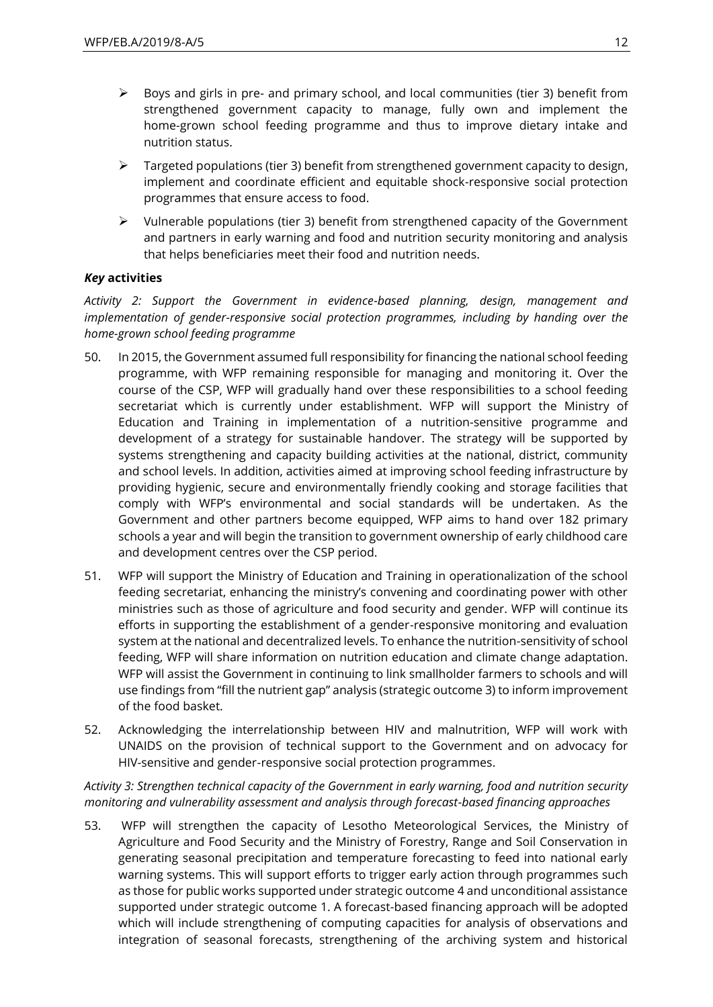- $\triangleright$  Boys and girls in pre- and primary school, and local communities (tier 3) benefit from strengthened government capacity to manage, fully own and implement the home-grown school feeding programme and thus to improve dietary intake and nutrition status.
- $\triangleright$  Targeted populations (tier 3) benefit from strengthened government capacity to design, implement and coordinate efficient and equitable shock-responsive social protection programmes that ensure access to food.
- $\triangleright$  Vulnerable populations (tier 3) benefit from strengthened capacity of the Government and partners in early warning and food and nutrition security monitoring and analysis that helps beneficiaries meet their food and nutrition needs.

## *Key* **activities**

*Activity 2: Support the Government in evidence-based planning, design, management and implementation of gender-responsive social protection programmes, including by handing over the home-grown school feeding programme*

- 50. In 2015, the Government assumed full responsibility for financing the national school feeding programme, with WFP remaining responsible for managing and monitoring it. Over the course of the CSP, WFP will gradually hand over these responsibilities to a school feeding secretariat which is currently under establishment. WFP will support the Ministry of Education and Training in implementation of a nutrition-sensitive programme and development of a strategy for sustainable handover. The strategy will be supported by systems strengthening and capacity building activities at the national, district, community and school levels. In addition, activities aimed at improving school feeding infrastructure by providing hygienic, secure and environmentally friendly cooking and storage facilities that comply with WFP's environmental and social standards will be undertaken. As the Government and other partners become equipped, WFP aims to hand over 182 primary schools a year and will begin the transition to government ownership of early childhood care and development centres over the CSP period.
- 51. WFP will support the Ministry of Education and Training in operationalization of the school feeding secretariat, enhancing the ministry's convening and coordinating power with other ministries such as those of agriculture and food security and gender. WFP will continue its efforts in supporting the establishment of a gender-responsive monitoring and evaluation system at the national and decentralized levels. To enhance the nutrition-sensitivity of school feeding, WFP will share information on nutrition education and climate change adaptation. WFP will assist the Government in continuing to link smallholder farmers to schools and will use findings from "fill the nutrient gap" analysis (strategic outcome 3) to inform improvement of the food basket.
- 52. Acknowledging the interrelationship between HIV and malnutrition, WFP will work with UNAIDS on the provision of technical support to the Government and on advocacy for HIV-sensitive and gender-responsive social protection programmes.

*Activity 3: Strengthen technical capacity of the Government in early warning, food and nutrition security monitoring and vulnerability assessment and analysis through forecast-based financing approaches* 

53. WFP will strengthen the capacity of Lesotho Meteorological Services, the Ministry of Agriculture and Food Security and the Ministry of Forestry, Range and Soil Conservation in generating seasonal precipitation and temperature forecasting to feed into national early warning systems. This will support efforts to trigger early action through programmes such as those for public works supported under strategic outcome 4 and unconditional assistance supported under strategic outcome 1. A forecast-based financing approach will be adopted which will include strengthening of computing capacities for analysis of observations and integration of seasonal forecasts, strengthening of the archiving system and historical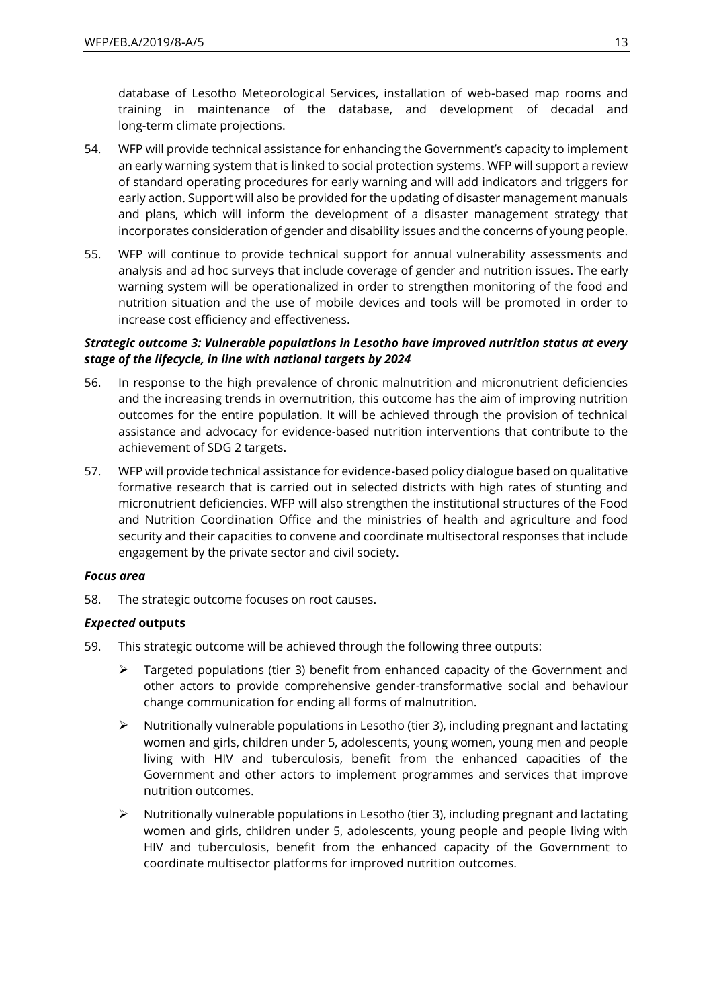database of Lesotho Meteorological Services, installation of web-based map rooms and training in maintenance of the database, and development of decadal and long-term climate projections.

- 54. WFP will provide technical assistance for enhancing the Government's capacity to implement an early warning system that is linked to social protection systems. WFP will support a review of standard operating procedures for early warning and will add indicators and triggers for early action. Support will also be provided for the updating of disaster management manuals and plans, which will inform the development of a disaster management strategy that incorporates consideration of gender and disability issues and the concerns of young people.
- 55. WFP will continue to provide technical support for annual vulnerability assessments and analysis and ad hoc surveys that include coverage of gender and nutrition issues. The early warning system will be operationalized in order to strengthen monitoring of the food and nutrition situation and the use of mobile devices and tools will be promoted in order to increase cost efficiency and effectiveness.

### *Strategic outcome 3: Vulnerable populations in Lesotho have improved nutrition status at every stage of the lifecycle, in line with national targets by 2024*

- 56. In response to the high prevalence of chronic malnutrition and micronutrient deficiencies and the increasing trends in overnutrition, this outcome has the aim of improving nutrition outcomes for the entire population. It will be achieved through the provision of technical assistance and advocacy for evidence-based nutrition interventions that contribute to the achievement of SDG 2 targets.
- 57. WFP will provide technical assistance for evidence-based policy dialogue based on qualitative formative research that is carried out in selected districts with high rates of stunting and micronutrient deficiencies. WFP will also strengthen the institutional structures of the Food and Nutrition Coordination Office and the ministries of health and agriculture and food security and their capacities to convene and coordinate multisectoral responses that include engagement by the private sector and civil society.

### *Focus area*

58. The strategic outcome focuses on root causes.

### *Expected* **outputs**

- 59. This strategic outcome will be achieved through the following three outputs:
	- ➢ Targeted populations (tier 3) benefit from enhanced capacity of the Government and other actors to provide comprehensive gender-transformative social and behaviour change communication for ending all forms of malnutrition.
	- $\triangleright$  Nutritionally vulnerable populations in Lesotho (tier 3), including pregnant and lactating women and girls, children under 5, adolescents, young women, young men and people living with HIV and tuberculosis, benefit from the enhanced capacities of the Government and other actors to implement programmes and services that improve nutrition outcomes.
	- $\triangleright$  Nutritionally vulnerable populations in Lesotho (tier 3), including pregnant and lactating women and girls, children under 5, adolescents, young people and people living with HIV and tuberculosis, benefit from the enhanced capacity of the Government to coordinate multisector platforms for improved nutrition outcomes.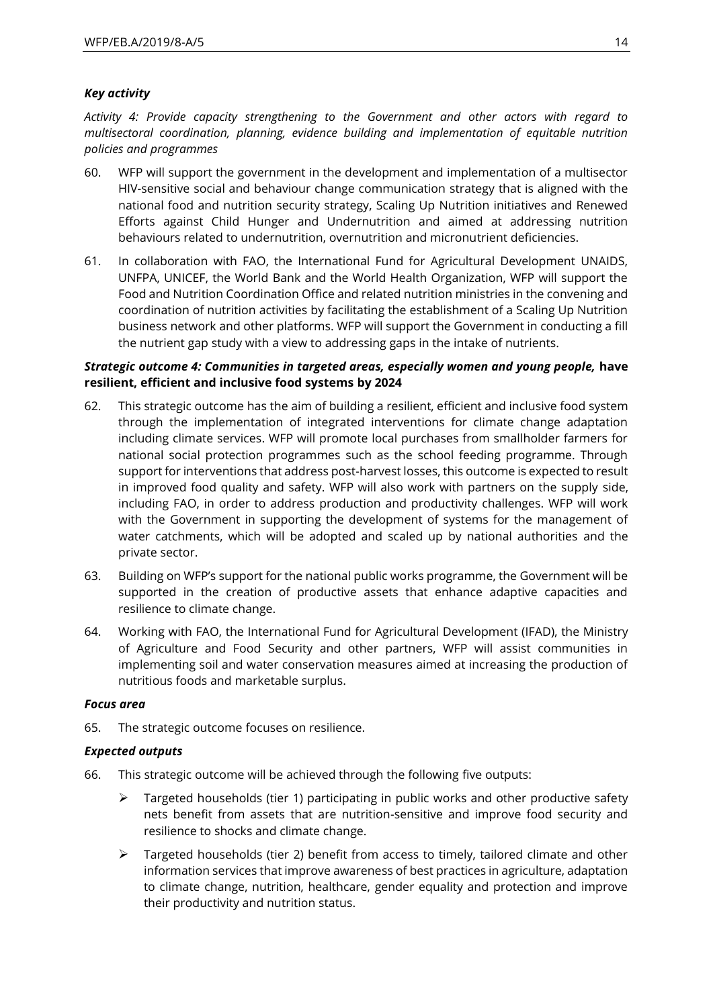### *Key activity*

*Activity 4: Provide capacity strengthening to the Government and other actors with regard to multisectoral coordination, planning, evidence building and implementation of equitable nutrition policies and programmes*

- 60. WFP will support the government in the development and implementation of a multisector HIV-sensitive social and behaviour change communication strategy that is aligned with the national food and nutrition security strategy, Scaling Up Nutrition initiatives and Renewed Efforts against Child Hunger and Undernutrition and aimed at addressing nutrition behaviours related to undernutrition, overnutrition and micronutrient deficiencies.
- 61. In collaboration with FAO, the International Fund for Agricultural Development UNAIDS, UNFPA, UNICEF, the World Bank and the World Health Organization, WFP will support the Food and Nutrition Coordination Office and related nutrition ministries in the convening and coordination of nutrition activities by facilitating the establishment of a Scaling Up Nutrition business network and other platforms. WFP will support the Government in conducting a fill the nutrient gap study with a view to addressing gaps in the intake of nutrients.

### *Strategic outcome 4: Communities in targeted areas, especially women and young people,* **have resilient, efficient and inclusive food systems by 2024**

- 62. This strategic outcome has the aim of building a resilient, efficient and inclusive food system through the implementation of integrated interventions for climate change adaptation including climate services. WFP will promote local purchases from smallholder farmers for national social protection programmes such as the school feeding programme. Through support for interventions that address post-harvest losses, this outcome is expected to result in improved food quality and safety. WFP will also work with partners on the supply side, including FAO, in order to address production and productivity challenges. WFP will work with the Government in supporting the development of systems for the management of water catchments, which will be adopted and scaled up by national authorities and the private sector.
- 63. Building on WFP's support for the national public works programme, the Government will be supported in the creation of productive assets that enhance adaptive capacities and resilience to climate change.
- 64. Working with FAO, the International Fund for Agricultural Development (IFAD), the Ministry of Agriculture and Food Security and other partners, WFP will assist communities in implementing soil and water conservation measures aimed at increasing the production of nutritious foods and marketable surplus.

### *Focus area*

65. The strategic outcome focuses on resilience.

### *Expected outputs*

- 66. This strategic outcome will be achieved through the following five outputs:
	- $\triangleright$  Targeted households (tier 1) participating in public works and other productive safety nets benefit from assets that are nutrition-sensitive and improve food security and resilience to shocks and climate change.
	- $\triangleright$  Targeted households (tier 2) benefit from access to timely, tailored climate and other information services that improve awareness of best practices in agriculture, adaptation to climate change, nutrition, healthcare, gender equality and protection and improve their productivity and nutrition status.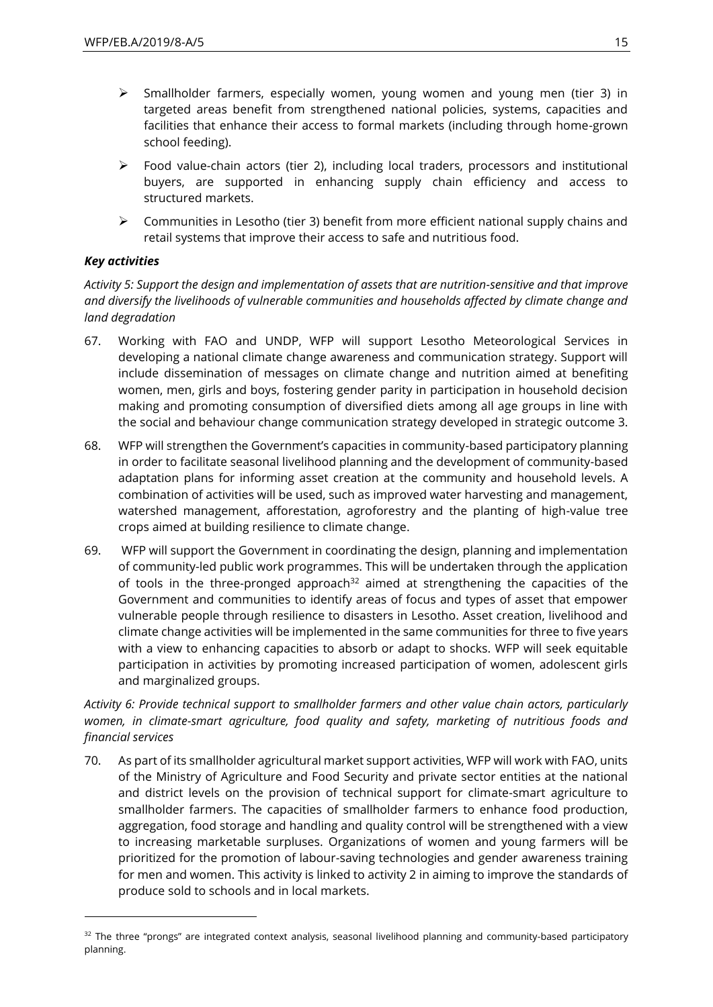- ➢ Smallholder farmers, especially women, young women and young men (tier 3) in targeted areas benefit from strengthened national policies, systems, capacities and facilities that enhance their access to formal markets (including through home-grown school feeding).
- $\triangleright$  Food value-chain actors (tier 2), including local traders, processors and institutional buyers, are supported in enhancing supply chain efficiency and access to structured markets.
- $\triangleright$  Communities in Lesotho (tier 3) benefit from more efficient national supply chains and retail systems that improve their access to safe and nutritious food.

## *Key activities*

 $\overline{a}$ 

*Activity 5: Support the design and implementation of assets that are nutrition-sensitive and that improve and diversify the livelihoods of vulnerable communities and households affected by climate change and land degradation*

- 67. Working with FAO and UNDP, WFP will support Lesotho Meteorological Services in developing a national climate change awareness and communication strategy. Support will include dissemination of messages on climate change and nutrition aimed at benefiting women, men, girls and boys, fostering gender parity in participation in household decision making and promoting consumption of diversified diets among all age groups in line with the social and behaviour change communication strategy developed in strategic outcome 3.
- 68. WFP will strengthen the Government's capacities in community-based participatory planning in order to facilitate seasonal livelihood planning and the development of community-based adaptation plans for informing asset creation at the community and household levels. A combination of activities will be used, such as improved water harvesting and management, watershed management, afforestation, agroforestry and the planting of high-value tree crops aimed at building resilience to climate change.
- 69. WFP will support the Government in coordinating the design, planning and implementation of community-led public work programmes. This will be undertaken through the application of tools in the three-pronged approach<sup>32</sup> aimed at strengthening the capacities of the Government and communities to identify areas of focus and types of asset that empower vulnerable people through resilience to disasters in Lesotho. Asset creation, livelihood and climate change activities will be implemented in the same communities for three to five years with a view to enhancing capacities to absorb or adapt to shocks. WFP will seek equitable participation in activities by promoting increased participation of women, adolescent girls and marginalized groups.

## *Activity 6: Provide technical support to smallholder farmers and other value chain actors, particularly women, in climate-smart agriculture, food quality and safety, marketing of nutritious foods and financial services*

70. As part of its smallholder agricultural market support activities, WFP will work with FAO, units of the Ministry of Agriculture and Food Security and private sector entities at the national and district levels on the provision of technical support for climate-smart agriculture to smallholder farmers. The capacities of smallholder farmers to enhance food production, aggregation, food storage and handling and quality control will be strengthened with a view to increasing marketable surpluses. Organizations of women and young farmers will be prioritized for the promotion of labour-saving technologies and gender awareness training for men and women. This activity is linked to activity 2 in aiming to improve the standards of produce sold to schools and in local markets.

<sup>&</sup>lt;sup>32</sup> The three "prongs" are integrated context analysis, seasonal livelihood planning and community-based participatory planning.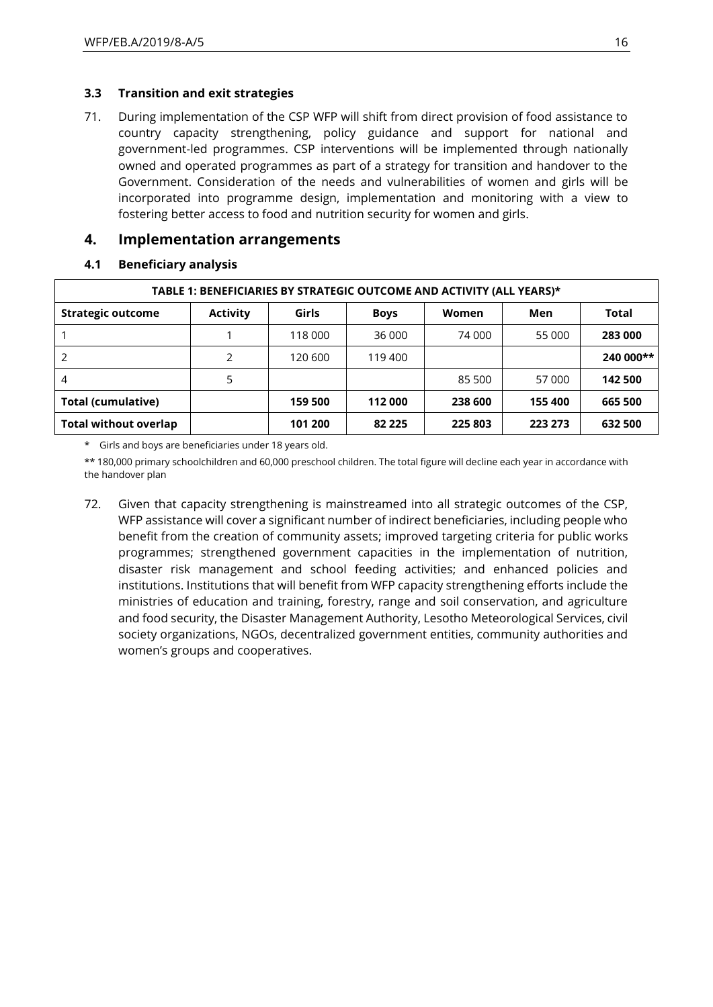### **3.3 Transition and exit strategies**

71. During implementation of the CSP WFP will shift from direct provision of food assistance to country capacity strengthening, policy guidance and support for national and government-led programmes. CSP interventions will be implemented through nationally owned and operated programmes as part of a strategy for transition and handover to the Government. Consideration of the needs and vulnerabilities of women and girls will be incorporated into programme design, implementation and monitoring with a view to fostering better access to food and nutrition security for women and girls.

## **4. Implementation arrangements**

### **4.1 Beneficiary analysis**

| TABLE 1: BENEFICIARIES BY STRATEGIC OUTCOME AND ACTIVITY (ALL YEARS)* |                 |         |             |         |         |           |
|-----------------------------------------------------------------------|-----------------|---------|-------------|---------|---------|-----------|
| <b>Strategic outcome</b>                                              | <b>Activity</b> | Girls   | <b>Boys</b> | Women   | Men     | Total     |
|                                                                       |                 | 118 000 | 36 000      | 74 000  | 55 000  | 283 000   |
| 2                                                                     |                 | 120 600 | 119 400     |         |         | 240 000** |
| $\overline{4}$                                                        | 5               |         |             | 85 500  | 57 000  | 142 500   |
| Total (cumulative)                                                    |                 | 159 500 | 112 000     | 238 600 | 155 400 | 665 500   |
| <b>Total without overlap</b>                                          |                 | 101 200 | 82 2 2 5    | 225 803 | 223 273 | 632 500   |

\* Girls and boys are beneficiaries under 18 years old.

\*\* 180,000 primary schoolchildren and 60,000 preschool children. The total figure will decline each year in accordance with the handover plan

72. Given that capacity strengthening is mainstreamed into all strategic outcomes of the CSP, WFP assistance will cover a significant number of indirect beneficiaries, including people who benefit from the creation of community assets; improved targeting criteria for public works programmes; strengthened government capacities in the implementation of nutrition, disaster risk management and school feeding activities; and enhanced policies and institutions. Institutions that will benefit from WFP capacity strengthening efforts include the ministries of education and training, forestry, range and soil conservation, and agriculture and food security, the Disaster Management Authority, Lesotho Meteorological Services, civil society organizations, NGOs, decentralized government entities, community authorities and women's groups and cooperatives.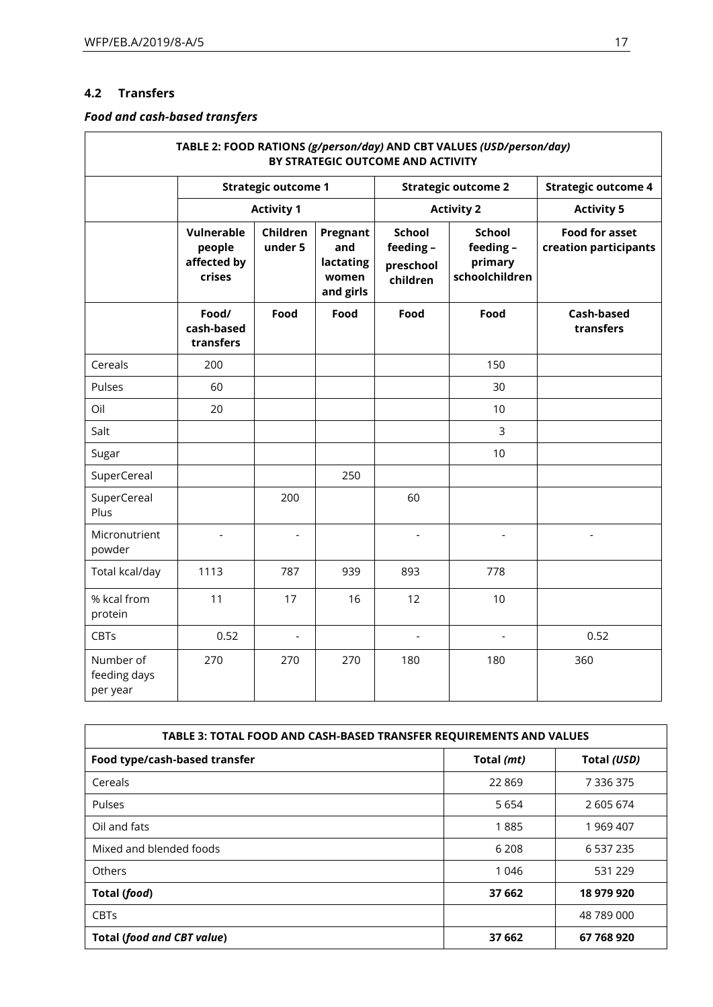## **4.2 Transfers**

## *Food and cash-based transfers*

|                                       |                                               |                            |                                                    | BY STRATEGIC OUTCOME AND ACTIVITY                   | TABLE 2: FOOD RATIONS (g/person/day) AND CBT VALUES (USD/person/day) |                                                |
|---------------------------------------|-----------------------------------------------|----------------------------|----------------------------------------------------|-----------------------------------------------------|----------------------------------------------------------------------|------------------------------------------------|
|                                       |                                               | <b>Strategic outcome 1</b> |                                                    | <b>Strategic outcome 2</b><br><b>Activity 2</b>     |                                                                      | <b>Strategic outcome 4</b>                     |
|                                       |                                               | <b>Activity 1</b>          |                                                    |                                                     |                                                                      | <b>Activity 5</b>                              |
|                                       | Vulnerable<br>people<br>affected by<br>crises | Children<br>under 5        | Pregnant<br>and<br>lactating<br>women<br>and girls | <b>School</b><br>feeding -<br>preschool<br>children | School<br>feeding-<br>primary<br>schoolchildren                      | <b>Food for asset</b><br>creation participants |
|                                       | Food/<br>cash-based<br>transfers              | Food                       | Food                                               | Food                                                | Food                                                                 | Cash-based<br>transfers                        |
| Cereals                               | 200                                           |                            |                                                    |                                                     | 150                                                                  |                                                |
| Pulses                                | 60                                            |                            |                                                    |                                                     | 30                                                                   |                                                |
| Oil                                   | 20                                            |                            |                                                    |                                                     | 10                                                                   |                                                |
| Salt                                  |                                               |                            |                                                    |                                                     | 3                                                                    |                                                |
| Sugar                                 |                                               |                            |                                                    |                                                     | 10                                                                   |                                                |
| SuperCereal                           |                                               |                            | 250                                                |                                                     |                                                                      |                                                |
| SuperCereal<br>Plus                   |                                               | 200                        |                                                    | 60                                                  |                                                                      |                                                |
| Micronutrient<br>powder               |                                               |                            |                                                    |                                                     |                                                                      |                                                |
| Total kcal/day                        | 1113                                          | 787                        | 939                                                | 893                                                 | 778                                                                  |                                                |
| % kcal from<br>protein                | 11                                            | 17                         | 16                                                 | 12                                                  | 10                                                                   |                                                |
| CBTs                                  | 0.52                                          | $\overline{\phantom{a}}$   |                                                    | $\overline{\phantom{a}}$                            | $\overline{\phantom{a}}$                                             | 0.52                                           |
| Number of<br>feeding days<br>per year | 270                                           | 270                        | 270                                                | 180                                                 | 180                                                                  | 360                                            |

| TABLE 3: TOTAL FOOD AND CASH-BASED TRANSFER REQUIREMENTS AND VALUES |            |             |  |
|---------------------------------------------------------------------|------------|-------------|--|
| Food type/cash-based transfer                                       | Total (mt) | Total (USD) |  |
| Cereals                                                             | 22869      | 7 336 375   |  |
| Pulses                                                              | 5 6 5 4    | 2 605 674   |  |
| Oil and fats                                                        | 1885       | 1 969 407   |  |
| Mixed and blended foods                                             | 6 208      | 6 537 235   |  |
| Others                                                              | 1 0 4 6    | 531 229     |  |
| Total (food)                                                        | 37 662     | 18 979 920  |  |
| <b>CBTs</b>                                                         |            | 48 789 000  |  |
| <b>Total (food and CBT value)</b>                                   | 37 662     | 67 768 920  |  |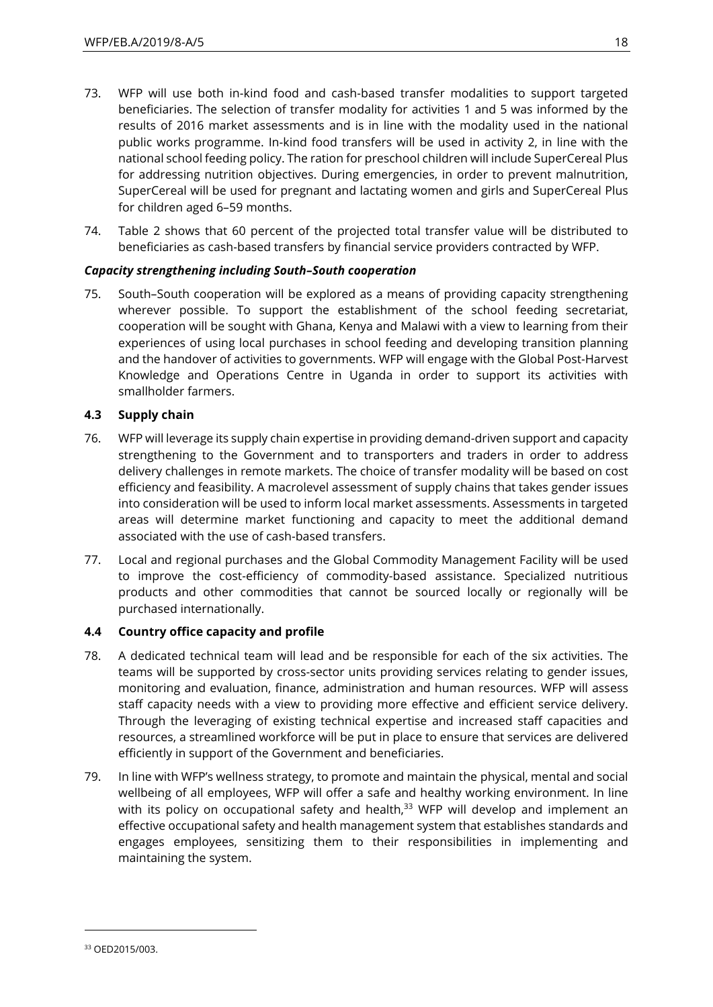- 73. WFP will use both in-kind food and cash-based transfer modalities to support targeted beneficiaries. The selection of transfer modality for activities 1 and 5 was informed by the results of 2016 market assessments and is in line with the modality used in the national public works programme. In-kind food transfers will be used in activity 2, in line with the national school feeding policy. The ration for preschool children will include SuperCereal Plus for addressing nutrition objectives. During emergencies, in order to prevent malnutrition, SuperCereal will be used for pregnant and lactating women and girls and SuperCereal Plus for children aged 6–59 months.
- 74. Table 2 shows that 60 percent of the projected total transfer value will be distributed to beneficiaries as cash-based transfers by financial service providers contracted by WFP.

### *Capacity strengthening including South–South cooperation*

75. South–South cooperation will be explored as a means of providing capacity strengthening wherever possible. To support the establishment of the school feeding secretariat, cooperation will be sought with Ghana, Kenya and Malawi with a view to learning from their experiences of using local purchases in school feeding and developing transition planning and the handover of activities to governments. WFP will engage with the Global Post-Harvest Knowledge and Operations Centre in Uganda in order to support its activities with smallholder farmers.

### **4.3 Supply chain**

- 76. WFP will leverage its supply chain expertise in providing demand-driven support and capacity strengthening to the Government and to transporters and traders in order to address delivery challenges in remote markets. The choice of transfer modality will be based on cost efficiency and feasibility. A macrolevel assessment of supply chains that takes gender issues into consideration will be used to inform local market assessments. Assessments in targeted areas will determine market functioning and capacity to meet the additional demand associated with the use of cash-based transfers.
- 77. Local and regional purchases and the Global Commodity Management Facility will be used to improve the cost-efficiency of commodity-based assistance. Specialized nutritious products and other commodities that cannot be sourced locally or regionally will be purchased internationally.

### **4.4 Country office capacity and profile**

- 78. A dedicated technical team will lead and be responsible for each of the six activities. The teams will be supported by cross-sector units providing services relating to gender issues, monitoring and evaluation, finance, administration and human resources. WFP will assess staff capacity needs with a view to providing more effective and efficient service delivery. Through the leveraging of existing technical expertise and increased staff capacities and resources, a streamlined workforce will be put in place to ensure that services are delivered efficiently in support of the Government and beneficiaries.
- 79. In line with WFP's wellness strategy, to promote and maintain the physical, mental and social wellbeing of all employees, WFP will offer a safe and healthy working environment. In line with its policy on occupational safety and health, $33$  WFP will develop and implement an effective occupational safety and health management system that establishes standards and engages employees, sensitizing them to their responsibilities in implementing and maintaining the system.

l

<sup>33</sup> OED2015/003.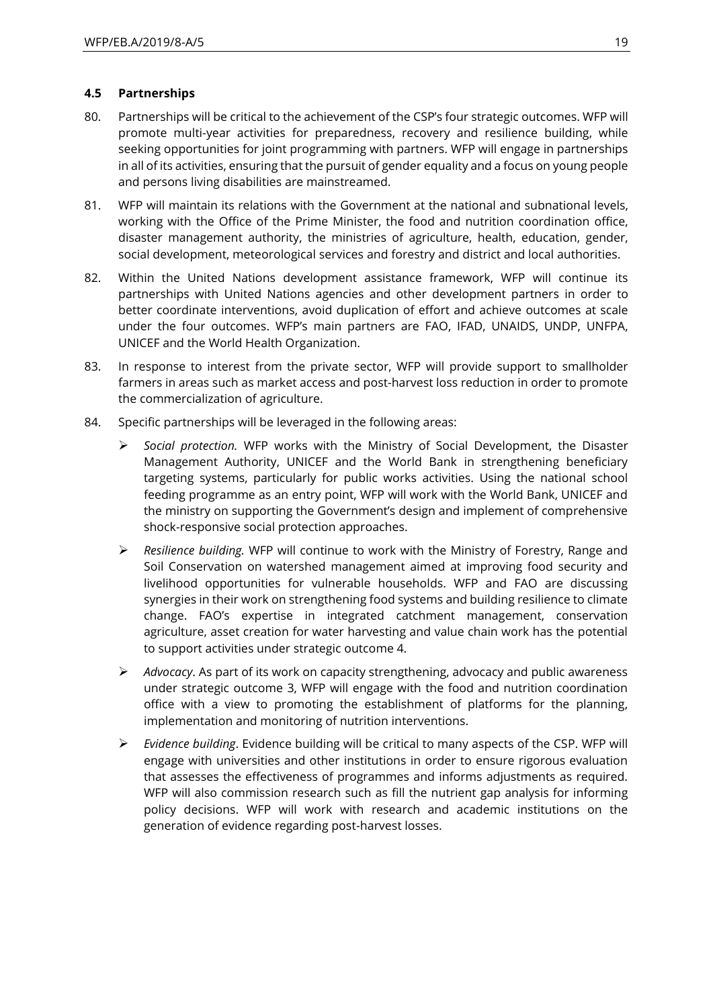### **4.5 Partnerships**

- 80. Partnerships will be critical to the achievement of the CSP's four strategic outcomes. WFP will promote multi-year activities for preparedness, recovery and resilience building, while seeking opportunities for joint programming with partners. WFP will engage in partnerships in all of its activities, ensuring that the pursuit of gender equality and a focus on young people and persons living disabilities are mainstreamed.
- 81. WFP will maintain its relations with the Government at the national and subnational levels, working with the Office of the Prime Minister, the food and nutrition coordination office, disaster management authority, the ministries of agriculture, health, education, gender, social development, meteorological services and forestry and district and local authorities.
- 82. Within the United Nations development assistance framework, WFP will continue its partnerships with United Nations agencies and other development partners in order to better coordinate interventions, avoid duplication of effort and achieve outcomes at scale under the four outcomes. WFP's main partners are FAO, IFAD, UNAIDS, UNDP, UNFPA, UNICEF and the World Health Organization.
- 83. In response to interest from the private sector, WFP will provide support to smallholder farmers in areas such as market access and post-harvest loss reduction in order to promote the commercialization of agriculture.
- 84. Specific partnerships will be leveraged in the following areas:
	- ➢ *Social protection.* WFP works with the Ministry of Social Development, the Disaster Management Authority, UNICEF and the World Bank in strengthening beneficiary targeting systems, particularly for public works activities. Using the national school feeding programme as an entry point, WFP will work with the World Bank, UNICEF and the ministry on supporting the Government's design and implement of comprehensive shock-responsive social protection approaches.
	- ➢ *Resilience building.* WFP will continue to work with the Ministry of Forestry, Range and Soil Conservation on watershed management aimed at improving food security and livelihood opportunities for vulnerable households. WFP and FAO are discussing synergies in their work on strengthening food systems and building resilience to climate change. FAO's expertise in integrated catchment management, conservation agriculture, asset creation for water harvesting and value chain work has the potential to support activities under strategic outcome 4.
	- ➢ *Advocacy*. As part of its work on capacity strengthening, advocacy and public awareness under strategic outcome 3, WFP will engage with the food and nutrition coordination office with a view to promoting the establishment of platforms for the planning, implementation and monitoring of nutrition interventions.
	- ➢ *Evidence building*. Evidence building will be critical to many aspects of the CSP. WFP will engage with universities and other institutions in order to ensure rigorous evaluation that assesses the effectiveness of programmes and informs adjustments as required. WFP will also commission research such as fill the nutrient gap analysis for informing policy decisions. WFP will work with research and academic institutions on the generation of evidence regarding post-harvest losses.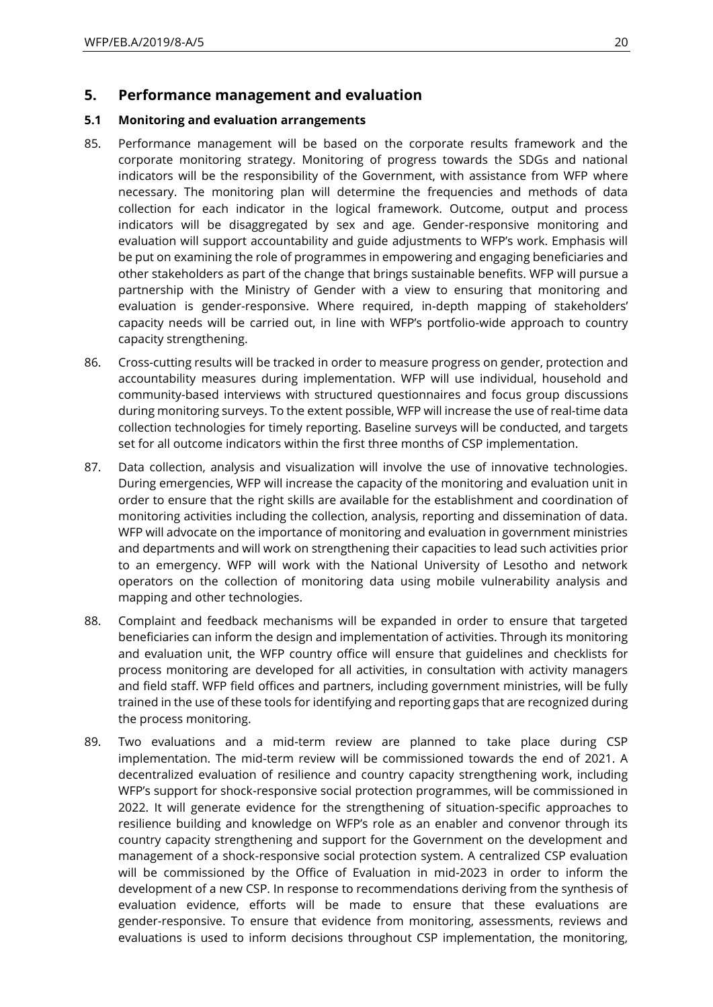### **5. Performance management and evaluation**

### **5.1 Monitoring and evaluation arrangements**

- 85. Performance management will be based on the corporate results framework and the corporate monitoring strategy. Monitoring of progress towards the SDGs and national indicators will be the responsibility of the Government, with assistance from WFP where necessary. The monitoring plan will determine the frequencies and methods of data collection for each indicator in the logical framework. Outcome, output and process indicators will be disaggregated by sex and age. Gender-responsive monitoring and evaluation will support accountability and guide adjustments to WFP's work. Emphasis will be put on examining the role of programmes in empowering and engaging beneficiaries and other stakeholders as part of the change that brings sustainable benefits. WFP will pursue a partnership with the Ministry of Gender with a view to ensuring that monitoring and evaluation is gender-responsive. Where required, in-depth mapping of stakeholders' capacity needs will be carried out, in line with WFP's portfolio-wide approach to country capacity strengthening.
- 86. Cross-cutting results will be tracked in order to measure progress on gender, protection and accountability measures during implementation. WFP will use individual, household and community-based interviews with structured questionnaires and focus group discussions during monitoring surveys. To the extent possible, WFP will increase the use of real-time data collection technologies for timely reporting. Baseline surveys will be conducted, and targets set for all outcome indicators within the first three months of CSP implementation.
- 87. Data collection, analysis and visualization will involve the use of innovative technologies. During emergencies, WFP will increase the capacity of the monitoring and evaluation unit in order to ensure that the right skills are available for the establishment and coordination of monitoring activities including the collection, analysis, reporting and dissemination of data. WFP will advocate on the importance of monitoring and evaluation in government ministries and departments and will work on strengthening their capacities to lead such activities prior to an emergency. WFP will work with the National University of Lesotho and network operators on the collection of monitoring data using mobile vulnerability analysis and mapping and other technologies.
- 88. Complaint and feedback mechanisms will be expanded in order to ensure that targeted beneficiaries can inform the design and implementation of activities. Through its monitoring and evaluation unit, the WFP country office will ensure that guidelines and checklists for process monitoring are developed for all activities, in consultation with activity managers and field staff. WFP field offices and partners, including government ministries, will be fully trained in the use of these tools for identifying and reporting gaps that are recognized during the process monitoring.
- 89. Two evaluations and a mid-term review are planned to take place during CSP implementation. The mid-term review will be commissioned towards the end of 2021. A decentralized evaluation of resilience and country capacity strengthening work, including WFP's support for shock-responsive social protection programmes, will be commissioned in 2022. It will generate evidence for the strengthening of situation-specific approaches to resilience building and knowledge on WFP's role as an enabler and convenor through its country capacity strengthening and support for the Government on the development and management of a shock-responsive social protection system. A centralized CSP evaluation will be commissioned by the Office of Evaluation in mid-2023 in order to inform the development of a new CSP. In response to recommendations deriving from the synthesis of evaluation evidence, efforts will be made to ensure that these evaluations are gender-responsive. To ensure that evidence from monitoring, assessments, reviews and evaluations is used to inform decisions throughout CSP implementation, the monitoring,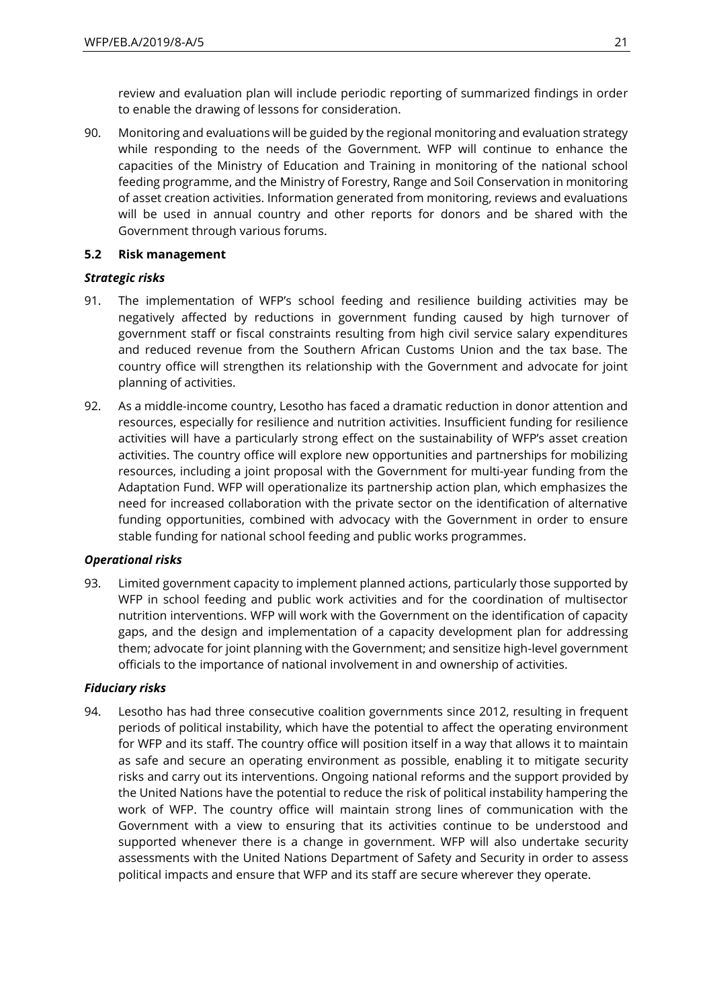review and evaluation plan will include periodic reporting of summarized findings in order to enable the drawing of lessons for consideration.

90. Monitoring and evaluations will be guided by the regional monitoring and evaluation strategy while responding to the needs of the Government. WFP will continue to enhance the capacities of the Ministry of Education and Training in monitoring of the national school feeding programme, and the Ministry of Forestry, Range and Soil Conservation in monitoring of asset creation activities. Information generated from monitoring, reviews and evaluations will be used in annual country and other reports for donors and be shared with the Government through various forums.

### **5.2 Risk management**

#### *Strategic risks*

- 91. The implementation of WFP's school feeding and resilience building activities may be negatively affected by reductions in government funding caused by high turnover of government staff or fiscal constraints resulting from high civil service salary expenditures and reduced revenue from the Southern African Customs Union and the tax base. The country office will strengthen its relationship with the Government and advocate for joint planning of activities.
- 92. As a middle-income country, Lesotho has faced a dramatic reduction in donor attention and resources, especially for resilience and nutrition activities. Insufficient funding for resilience activities will have a particularly strong effect on the sustainability of WFP's asset creation activities. The country office will explore new opportunities and partnerships for mobilizing resources, including a joint proposal with the Government for multi-year funding from the Adaptation Fund. WFP will operationalize its partnership action plan, which emphasizes the need for increased collaboration with the private sector on the identification of alternative funding opportunities, combined with advocacy with the Government in order to ensure stable funding for national school feeding and public works programmes.

### *Operational risks*

93. Limited government capacity to implement planned actions, particularly those supported by WFP in school feeding and public work activities and for the coordination of multisector nutrition interventions. WFP will work with the Government on the identification of capacity gaps, and the design and implementation of a capacity development plan for addressing them; advocate for joint planning with the Government; and sensitize high-level government officials to the importance of national involvement in and ownership of activities.

### *Fiduciary risks*

94. Lesotho has had three consecutive coalition governments since 2012, resulting in frequent periods of political instability, which have the potential to affect the operating environment for WFP and its staff. The country office will position itself in a way that allows it to maintain as safe and secure an operating environment as possible, enabling it to mitigate security risks and carry out its interventions. Ongoing national reforms and the support provided by the United Nations have the potential to reduce the risk of political instability hampering the work of WFP. The country office will maintain strong lines of communication with the Government with a view to ensuring that its activities continue to be understood and supported whenever there is a change in government. WFP will also undertake security assessments with the United Nations Department of Safety and Security in order to assess political impacts and ensure that WFP and its staff are secure wherever they operate.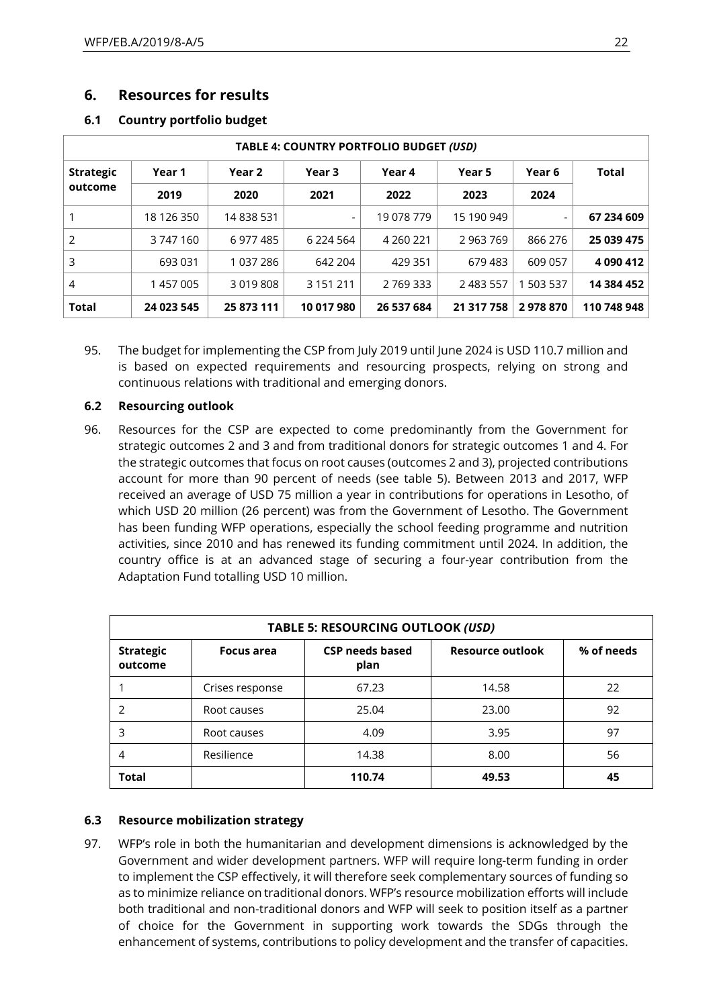## **6. Resources for results**

### **6.1 Country portfolio budget**

|                  |            |            |                   | TABLE 4: COUNTRY PORTFOLIO BUDGET (USD) |            |           |              |
|------------------|------------|------------|-------------------|-----------------------------------------|------------|-----------|--------------|
| <b>Strategic</b> | Year 1     | Year 2     | Year <sub>3</sub> | Year 4                                  | Year 5     | Year 6    | <b>Total</b> |
| outcome          | 2019       | 2020       | 2021              | 2022                                    | 2023       | 2024      |              |
|                  | 18 126 350 | 14 838 531 | ٠                 | 19 078 779                              | 15 190 949 |           | 67 234 609   |
| 2                | 3747160    | 6 977 485  | 6 224 564         | 4 2 6 0 2 2 1                           | 2 963 769  | 866 276   | 25 039 475   |
| 3                | 693 031    | 1 037 286  | 642 204           | 429 351                                 | 679 483    | 609 057   | 4 090 412    |
| $\overline{4}$   | 1 457 005  | 3 019 808  | 3 151 211         | 2 769 333                               | 2 483 557  | 1 503 537 | 14 384 452   |
| Total            | 24 023 545 | 25 873 111 | 10 017 980        | 26 537 684                              | 21 317 758 | 2978870   | 110 748 948  |

95. The budget for implementing the CSP from July 2019 until June 2024 is USD 110.7 million and is based on expected requirements and resourcing prospects, relying on strong and continuous relations with traditional and emerging donors.

### **6.2 Resourcing outlook**

96. Resources for the CSP are expected to come predominantly from the Government for strategic outcomes 2 and 3 and from traditional donors for strategic outcomes 1 and 4. For the strategic outcomes that focus on root causes (outcomes 2 and 3), projected contributions account for more than 90 percent of needs (see table 5). Between 2013 and 2017, WFP received an average of USD 75 million a year in contributions for operations in Lesotho, of which USD 20 million (26 percent) was from the Government of Lesotho. The Government has been funding WFP operations, especially the school feeding programme and nutrition activities, since 2010 and has renewed its funding commitment until 2024. In addition, the country office is at an advanced stage of securing a four-year contribution from the Adaptation Fund totalling USD 10 million.

| TABLE 5: RESOURCING OUTLOOK (USD) |                   |                                |                  |            |
|-----------------------------------|-------------------|--------------------------------|------------------|------------|
| <b>Strategic</b><br>outcome       | <b>Focus area</b> | <b>CSP needs based</b><br>plan | Resource outlook | % of needs |
|                                   | Crises response   | 67.23                          | 14.58            | 22         |
|                                   | Root causes       | 25.04                          | 23.00            | 92         |
| 3                                 | Root causes       | 4.09                           | 3.95             | 97         |
| 4                                 | Resilience        | 14.38                          | 8.00             | 56         |
| Total                             |                   | 110.74                         | 49.53            | 45         |

### **6.3 Resource mobilization strategy**

97. WFP's role in both the humanitarian and development dimensions is acknowledged by the Government and wider development partners. WFP will require long-term funding in order to implement the CSP effectively, it will therefore seek complementary sources of funding so as to minimize reliance on traditional donors. WFP's resource mobilization efforts will include both traditional and non-traditional donors and WFP will seek to position itself as a partner of choice for the Government in supporting work towards the SDGs through the enhancement of systems, contributions to policy development and the transfer of capacities.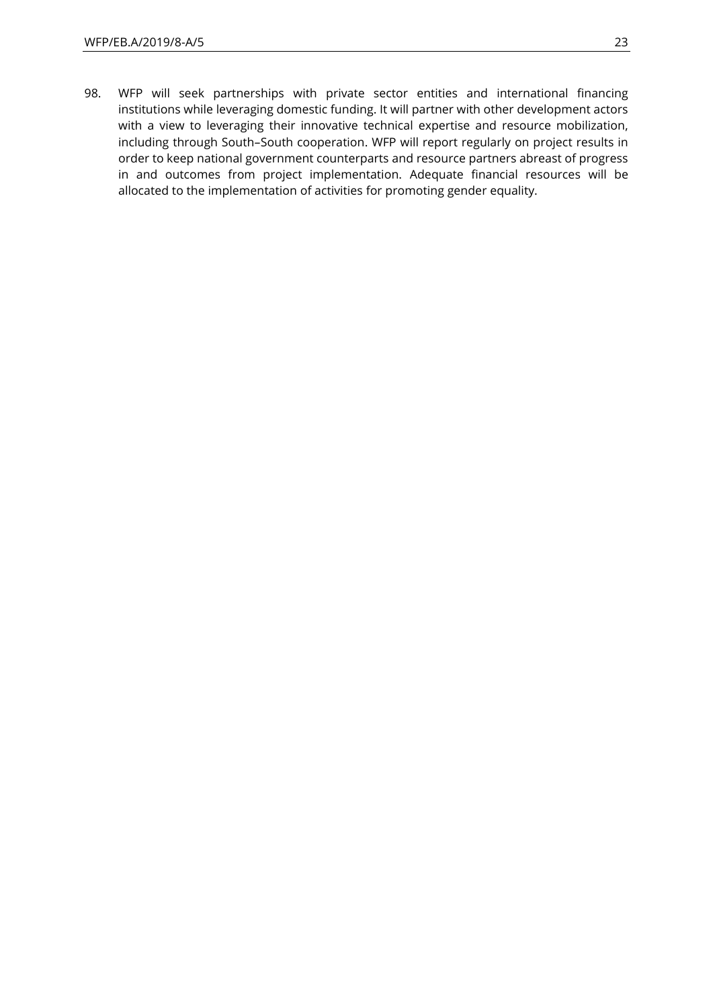98. WFP will seek partnerships with private sector entities and international financing institutions while leveraging domestic funding. It will partner with other development actors with a view to leveraging their innovative technical expertise and resource mobilization, including through South–South cooperation. WFP will report regularly on project results in order to keep national government counterparts and resource partners abreast of progress in and outcomes from project implementation. Adequate financial resources will be allocated to the implementation of activities for promoting gender equality.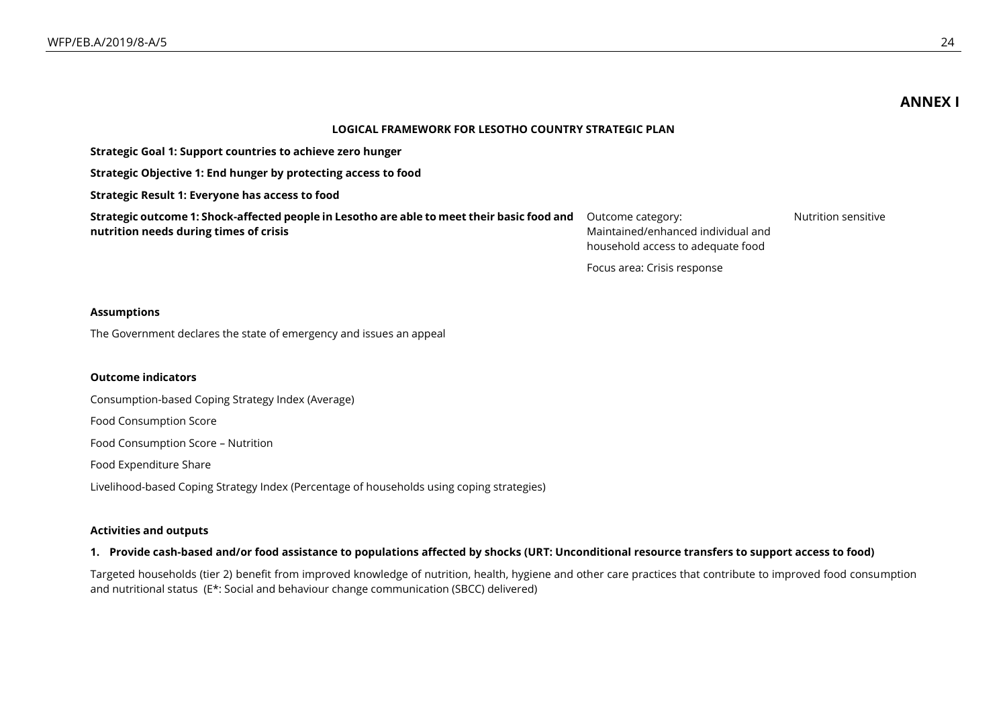**ANNEX I**

#### **LOGICAL FRAMEWORK FOR LESOTHO COUNTRY STRATEGIC PLAN**

| Strategic Goal 1: Support countries to achieve zero hunger                                                                            |                                                                                              |                     |
|---------------------------------------------------------------------------------------------------------------------------------------|----------------------------------------------------------------------------------------------|---------------------|
| Strategic Objective 1: End hunger by protecting access to food                                                                        |                                                                                              |                     |
| Strategic Result 1: Everyone has access to food                                                                                       |                                                                                              |                     |
| Strategic outcome 1: Shock-affected people in Lesotho are able to meet their basic food and<br>nutrition needs during times of crisis | Outcome category:<br>Maintained/enhanced individual and<br>household access to adequate food | Nutrition sensitive |
|                                                                                                                                       | Focus area: Crisis response                                                                  |                     |

#### **Assumptions**

The Government declares the state of emergency and issues an appeal

#### **Outcome indicators**

Consumption-based Coping Strategy Index (Average)

Food Consumption Score

Food Consumption Score – Nutrition

Food Expenditure Share

Livelihood-based Coping Strategy Index (Percentage of households using coping strategies)

#### **Activities and outputs**

#### **1. Provide cash-based and/or food assistance to populations affected by shocks (URT: Unconditional resource transfers to support access to food)**

Targeted households (tier 2) benefit from improved knowledge of nutrition, health, hygiene and other care practices that contribute to improved food consumption and nutritional status (E\*: Social and behaviour change communication (SBCC) delivered)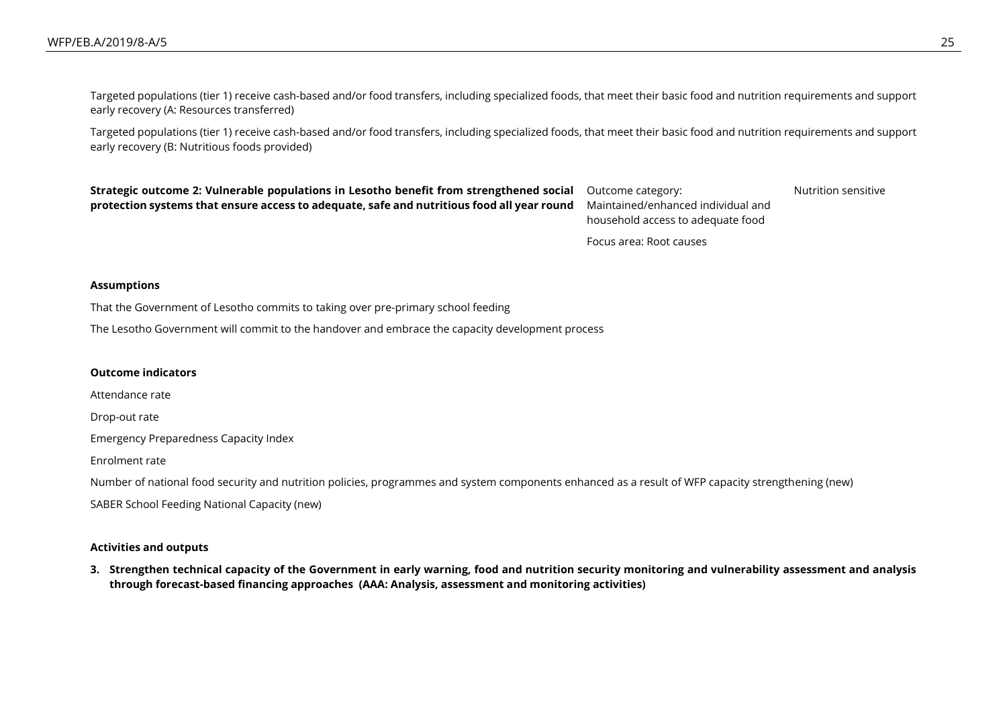Targeted populations (tier 1) receive cash-based and/or food transfers, including specialized foods, that meet their basic food and nutrition requirements and support early recovery (A: Resources transferred)

Targeted populations (tier 1) receive cash-based and/or food transfers, including specialized foods, that meet their basic food and nutrition requirements and support early recovery (B: Nutritious foods provided)

**Strategic outcome 2: Vulnerable populations in Lesotho benefit from strengthened social protection systems that ensure access to adequate, safe and nutritious food all year round**

Outcome category: Maintained/enhanced individual and household access to adequate food

Nutrition sensitive

Focus area: Root causes

#### **Assumptions**

That the Government of Lesotho commits to taking over pre-primary school feeding

The Lesotho Government will commit to the handover and embrace the capacity development process

#### **Outcome indicators**

Attendance rate

Drop-out rate

Emergency Preparedness Capacity Index

Enrolment rate

Number of national food security and nutrition policies, programmes and system components enhanced as a result of WFP capacity strengthening (new) SABER School Feeding National Capacity (new)

#### **Activities and outputs**

**3. Strengthen technical capacity of the Government in early warning, food and nutrition security monitoring and vulnerability assessment and analysis through forecast-based financing approaches (AAA: Analysis, assessment and monitoring activities)**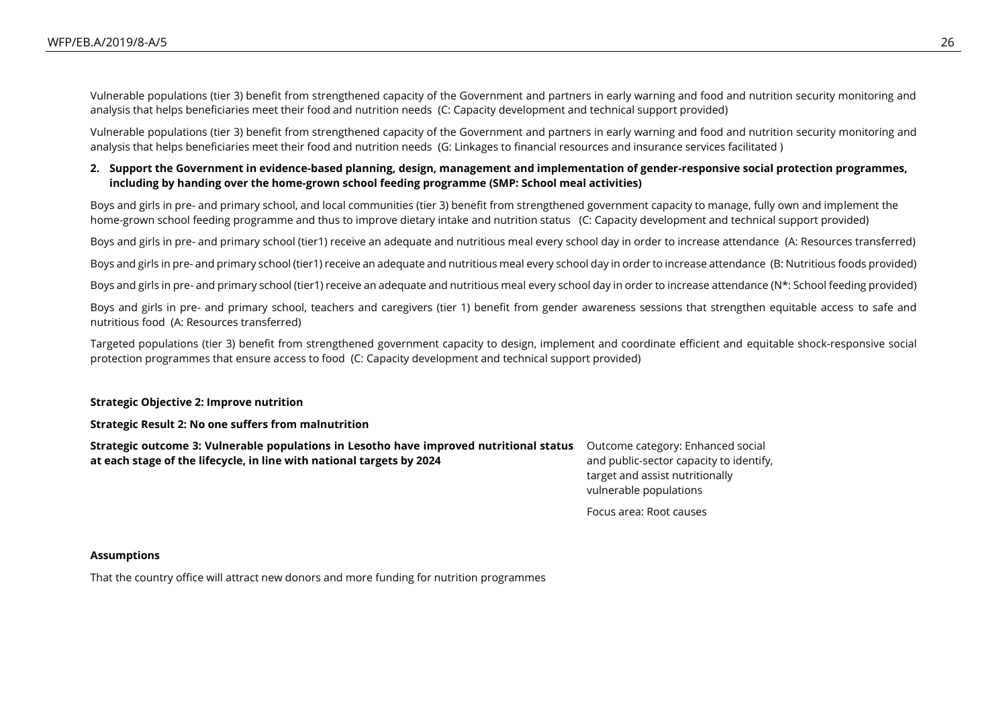Vulnerable populations (tier 3) benefit from strengthened capacity of the Government and partners in early warning and food and nutrition security monitoring and analysis that helps beneficiaries meet their food and nutrition needs (C: Capacity development and technical support provided)

Vulnerable populations (tier 3) benefit from strengthened capacity of the Government and partners in early warning and food and nutrition security monitoring and analysis that helps beneficiaries meet their food and nutrition needs (G: Linkages to financial resources and insurance services facilitated )

#### **2. Support the Government in evidence-based planning, design, management and implementation of gender-responsive social protection programmes, including by handing over the home-grown school feeding programme (SMP: School meal activities)**

Boys and girls in pre- and primary school, and local communities (tier 3) benefit from strengthened government capacity to manage, fully own and implement the home-grown school feeding programme and thus to improve dietary intake and nutrition status (C: Capacity development and technical support provided)

Boys and girls in pre- and primary school (tier1) receive an adequate and nutritious meal every school day in order to increase attendance (A: Resources transferred)

Boys and girls in pre- and primary school (tier1) receive an adequate and nutritious meal every school day in order to increase attendance (B: Nutritious foods provided)

Boys and girls in pre- and primary school (tier1) receive an adequate and nutritious meal every school day in order to increase attendance (N\*: School feeding provided)

Boys and girls in pre- and primary school, teachers and caregivers (tier 1) benefit from gender awareness sessions that strengthen equitable access to safe and nutritious food (A: Resources transferred)

Targeted populations (tier 3) benefit from strengthened government capacity to design, implement and coordinate efficient and equitable shock-responsive social protection programmes that ensure access to food (C: Capacity development and technical support provided)

#### **Strategic Objective 2: Improve nutrition**

#### **Strategic Result 2: No one suffers from malnutrition**

| Strategic outcome 3: Vulnerable populations in Lesotho have improved nutritional status | Outcome category: Enhanced soc     |
|-----------------------------------------------------------------------------------------|------------------------------------|
| at each stage of the lifecycle, in line with national targets by 2024                   | and public-sector capacity to iden |
|                                                                                         | target and assist nutritionally    |

Outcome category: Enhanced social htify, vulnerable populations

Focus area: Root causes

#### **Assumptions**

That the country office will attract new donors and more funding for nutrition programmes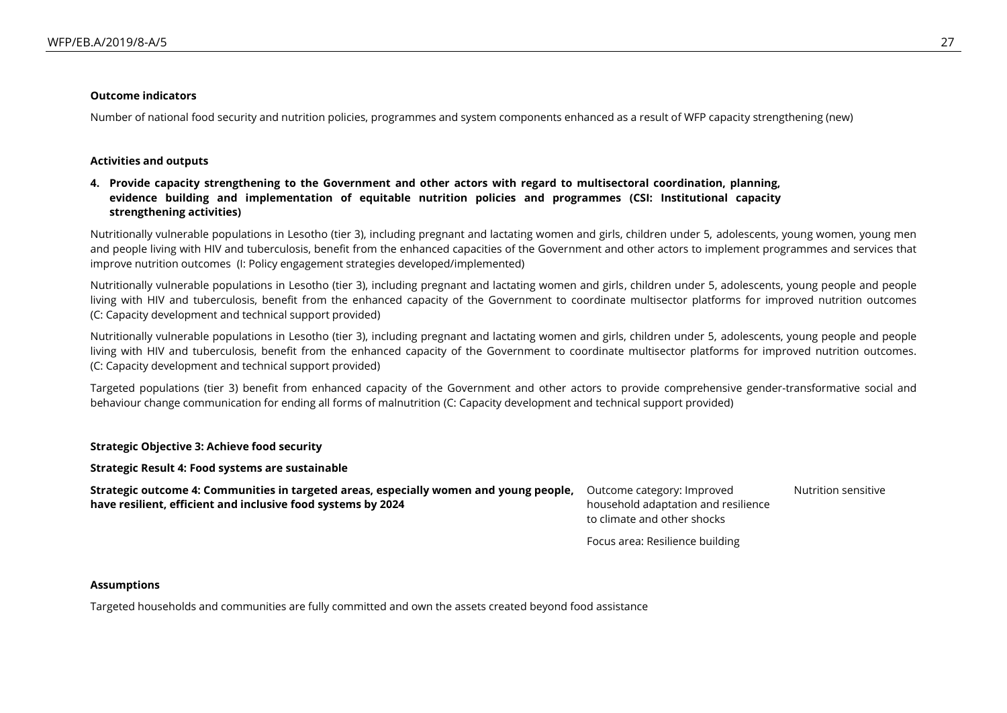#### **Outcome indicators**

Number of national food security and nutrition policies, programmes and system components enhanced as a result of WFP capacity strengthening (new)

#### **Activities and outputs**

#### **4. Provide capacity strengthening to the Government and other actors with regard to multisectoral coordination, planning, evidence building and implementation of equitable nutrition policies and programmes (CSI: Institutional capacity strengthening activities)**

Nutritionally vulnerable populations in Lesotho (tier 3), including pregnant and lactating women and girls, children under 5, adolescents, young women, young men and people living with HIV and tuberculosis, benefit from the enhanced capacities of the Government and other actors to implement programmes and services that improve nutrition outcomes (I: Policy engagement strategies developed/implemented)

Nutritionally vulnerable populations in Lesotho (tier 3), including pregnant and lactating women and girls, children under 5, adolescents, young people and people living with HIV and tuberculosis, benefit from the enhanced capacity of the Government to coordinate multisector platforms for improved nutrition outcomes (C: Capacity development and technical support provided)

Nutritionally vulnerable populations in Lesotho (tier 3), including pregnant and lactating women and girls, children under 5, adolescents, young people and people living with HIV and tuberculosis, benefit from the enhanced capacity of the Government to coordinate multisector platforms for improved nutrition outcomes. (C: Capacity development and technical support provided)

Targeted populations (tier 3) benefit from enhanced capacity of the Government and other actors to provide comprehensive gender-transformative social and behaviour change communication for ending all forms of malnutrition (C: Capacity development and technical support provided)

#### **Strategic Objective 3: Achieve food security**

**Strategic Result 4: Food systems are sustainable**

| Strategic outcome 4: Communities in targeted areas, especially women and young people, Outcome category: Improved |                                     | Nutrition sensitive |
|-------------------------------------------------------------------------------------------------------------------|-------------------------------------|---------------------|
| have resilient, efficient and inclusive food systems by 2024                                                      | household adaptation and resilience |                     |
|                                                                                                                   | to climate and other shocks         |                     |

Focus area: Resilience building

#### **Assumptions**

Targeted households and communities are fully committed and own the assets created beyond food assistance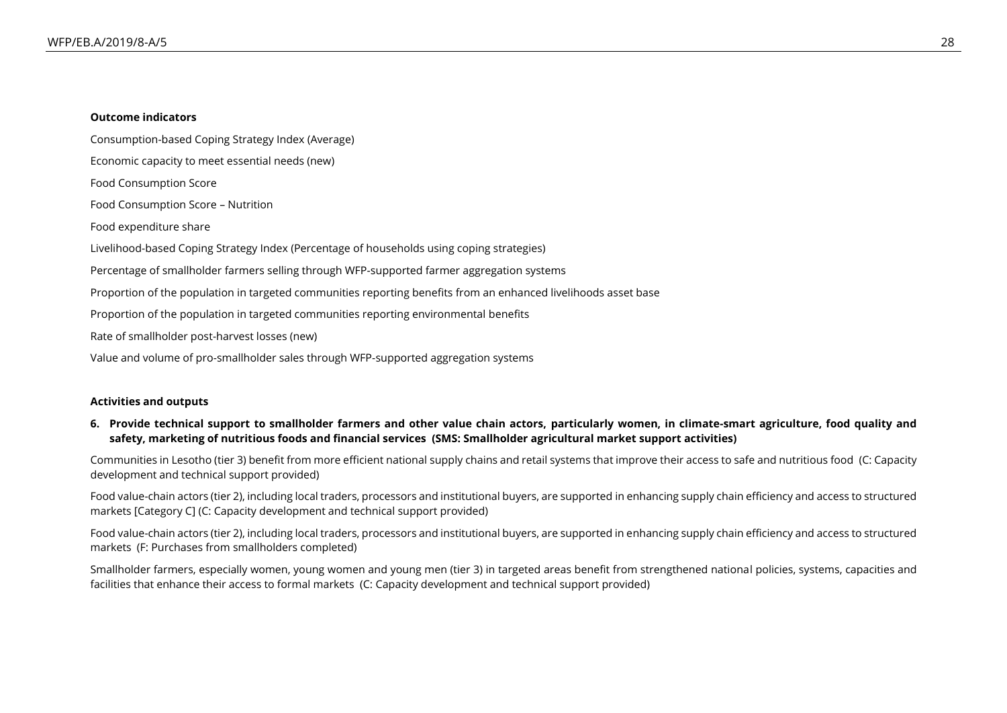#### **Outcome indicators**

Consumption-based Coping Strategy Index (Average) Economic capacity to meet essential needs (new) Food Consumption Score Food Consumption Score – Nutrition Food expenditure share Livelihood-based Coping Strategy Index (Percentage of households using coping strategies) Percentage of smallholder farmers selling through WFP-supported farmer aggregation systems Proportion of the population in targeted communities reporting benefits from an enhanced livelihoods asset base Proportion of the population in targeted communities reporting environmental benefits Rate of smallholder post-harvest losses (new) Value and volume of pro-smallholder sales through WFP-supported aggregation systems

#### **Activities and outputs**

#### **6. Provide technical support to smallholder farmers and other value chain actors, particularly women, in climate-smart agriculture, food quality and safety, marketing of nutritious foods and financial services (SMS: Smallholder agricultural market support activities)**

Communities in Lesotho (tier 3) benefit from more efficient national supply chains and retail systems that improve their access to safe and nutritious food (C: Capacity development and technical support provided)

Food value-chain actors (tier 2), including local traders, processors and institutional buyers, are supported in enhancing supply chain efficiency and access to structured markets [Category C] (C: Capacity development and technical support provided)

Food value-chain actors (tier 2), including local traders, processors and institutional buyers, are supported in enhancing supply chain efficiency and access to structured markets (F: Purchases from smallholders completed)

Smallholder farmers, especially women, young women and young men (tier 3) in targeted areas benefit from strengthened national policies, systems, capacities and facilities that enhance their access to formal markets (C: Capacity development and technical support provided)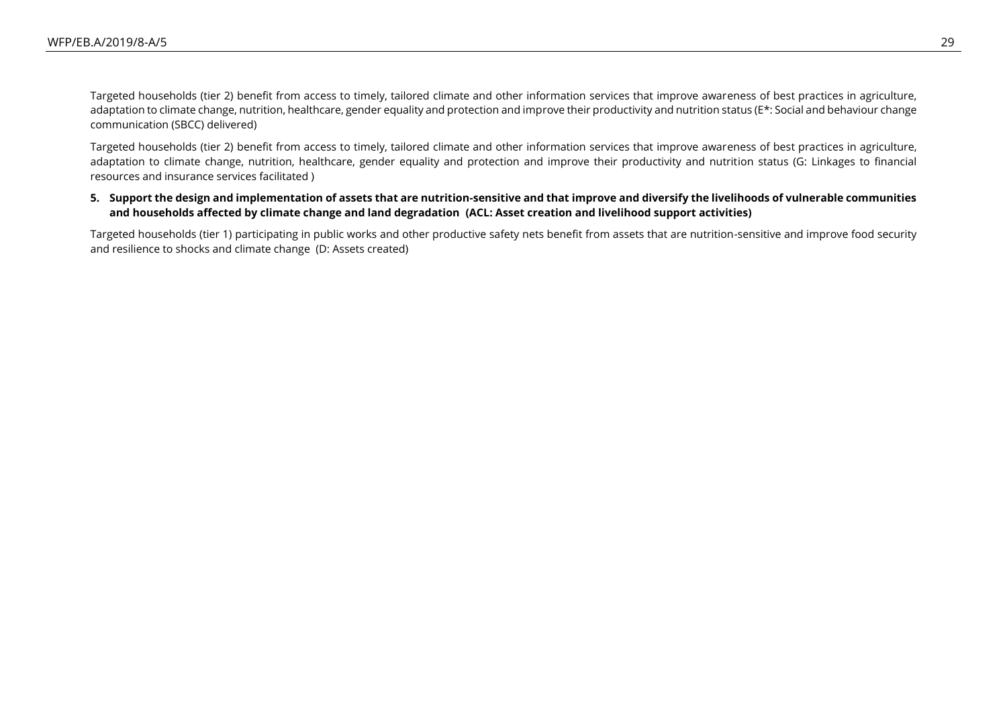Targeted households (tier 2) benefit from access to timely, tailored climate and other information services that improve awareness of best practices in agriculture, adaptation to climate change, nutrition, healthcare, gender equality and protection and improve their productivity and nutrition status (E\*: Social and behaviour change communication (SBCC) delivered)

Targeted households (tier 2) benefit from access to timely, tailored climate and other information services that improve awareness of best practices in agriculture, adaptation to climate change, nutrition, healthcare, gender equality and protection and improve their productivity and nutrition status (G: Linkages to financial resources and insurance services facilitated )

#### **5. Support the design and implementation of assets that are nutrition-sensitive and that improve and diversify the livelihoods of vulnerable communities and households affected by climate change and land degradation (ACL: Asset creation and livelihood support activities)**

Targeted households (tier 1) participating in public works and other productive safety nets benefit from assets that are nutrition-sensitive and improve food security and resilience to shocks and climate change (D: Assets created)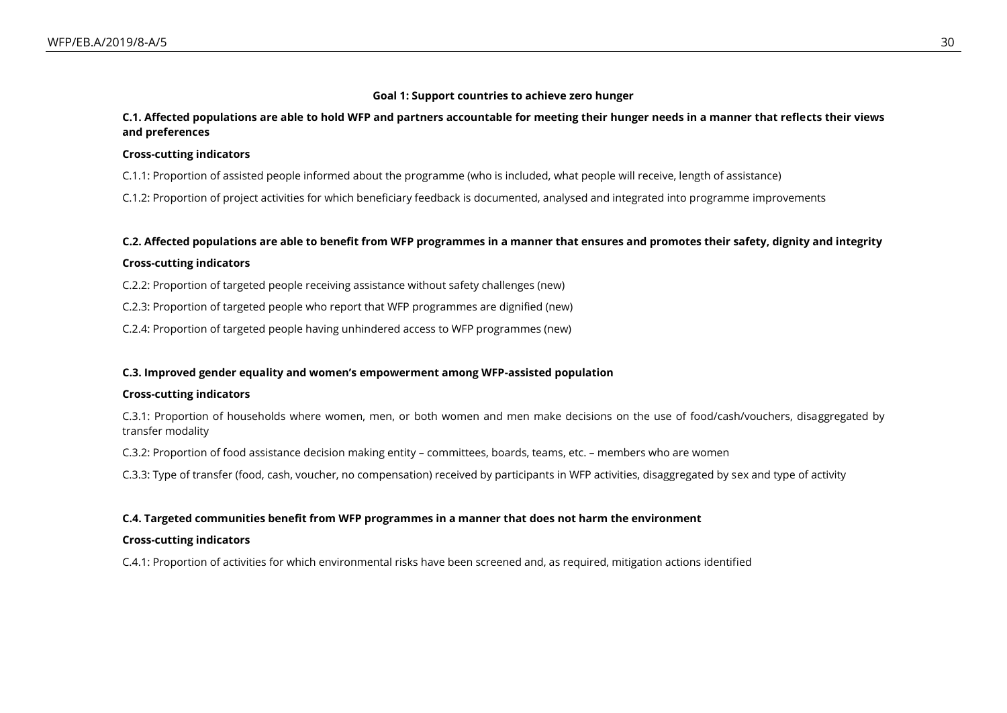#### **Goal 1: Support countries to achieve zero hunger**

#### **C.1. Affected populations are able to hold WFP and partners accountable for meeting their hunger needs in a manner that reflects their views and preferences**

#### **Cross-cutting indicators**

- C.1.1: Proportion of assisted people informed about the programme (who is included, what people will receive, length of assistance)
- C.1.2: Proportion of project activities for which beneficiary feedback is documented, analysed and integrated into programme improvements

#### **C.2. Affected populations are able to benefit from WFP programmes in a manner that ensures and promotes their safety, dignity and integrity**

#### **Cross-cutting indicators**

C.2.2: Proportion of targeted people receiving assistance without safety challenges (new)

- C.2.3: Proportion of targeted people who report that WFP programmes are dignified (new)
- C.2.4: Proportion of targeted people having unhindered access to WFP programmes (new)

#### **C.3. Improved gender equality and women's empowerment among WFP-assisted population**

#### **Cross-cutting indicators**

C.3.1: Proportion of households where women, men, or both women and men make decisions on the use of food/cash/vouchers, disaggregated by transfer modality

C.3.2: Proportion of food assistance decision making entity – committees, boards, teams, etc. – members who are women

C.3.3: Type of transfer (food, cash, voucher, no compensation) received by participants in WFP activities, disaggregated by sex and type of activity

#### **C.4. Targeted communities benefit from WFP programmes in a manner that does not harm the environment**

#### **Cross-cutting indicators**

C.4.1: Proportion of activities for which environmental risks have been screened and, as required, mitigation actions identified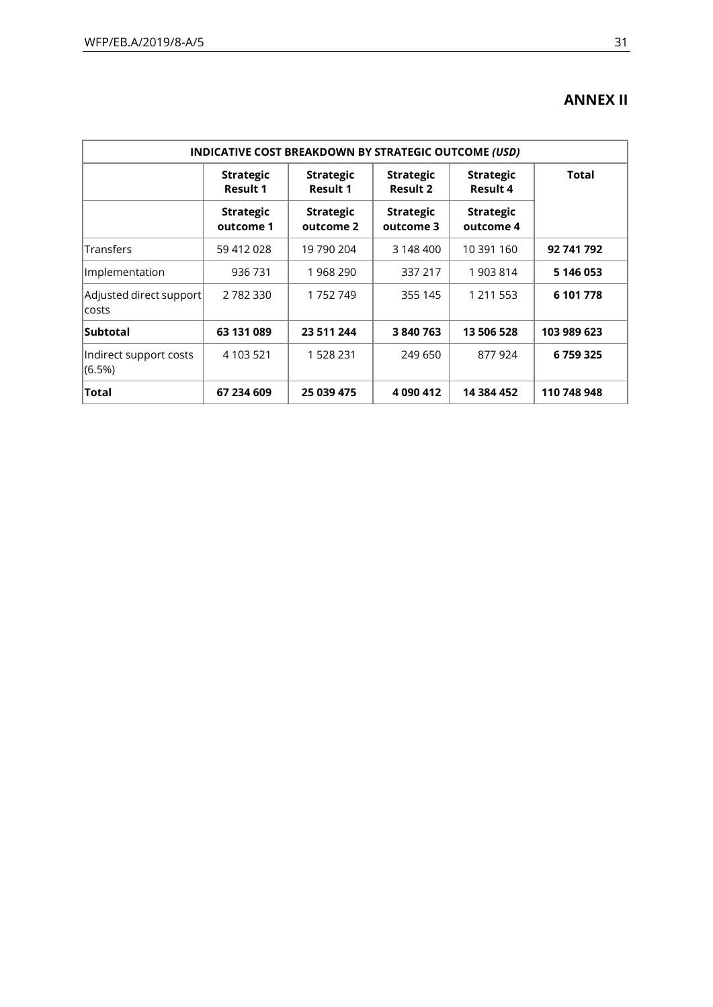## **ANNEX II**

| <b>INDICATIVE COST BREAKDOWN BY STRATEGIC OUTCOME (USD)</b> |                                     |                                     |                                     |                               |             |
|-------------------------------------------------------------|-------------------------------------|-------------------------------------|-------------------------------------|-------------------------------|-------------|
|                                                             | <b>Strategic</b><br><b>Result 1</b> | <b>Strategic</b><br><b>Result 1</b> | <b>Strategic</b><br><b>Result 2</b> | <b>Strategic</b><br>Result 4  | Total       |
|                                                             | <b>Strategic</b><br>outcome 1       | <b>Strategic</b><br>outcome 2       | <b>Strategic</b><br>outcome 3       | <b>Strategic</b><br>outcome 4 |             |
| Transfers                                                   | 59 412 028                          | 19 790 204                          | 3 148 400                           | 10 391 160                    | 92 741 792  |
| Implementation                                              | 936 731                             | 1968290                             | 337 217                             | 1903814                       | 5 146 053   |
| Adjusted direct support<br>costs                            | 2782330                             | 1752749                             | 355 145                             | 1 211 553                     | 6 101 778   |
| Subtotal                                                    | 63 131 089                          | 23 511 244                          | 3840763                             | 13 506 528                    | 103 989 623 |
| Indirect support costs<br>$(6.5\%)$                         | 4 103 521                           | 1 528 231                           | 249 650                             | 877924                        | 6759325     |
| Total                                                       | 67 234 609                          | 25 039 475                          | 4 090 412                           | 14 384 452                    | 110 748 948 |